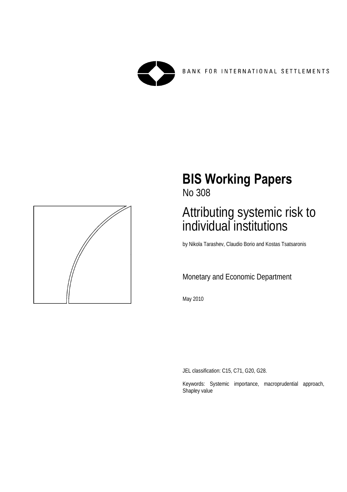

BANK FOR INTERNATIONAL SETTLEMENTS



# **BIS Working Papers**

No 308

# Attributing systemic risk to individual institutions

by Nikola Tarashev, Claudio Borio and Kostas Tsatsaronis

# Monetary and Economic Department

May 2010

JEL classification: C15, C71, G20, G28.

Keywords: Systemic importance, macroprudential approach, Shapley value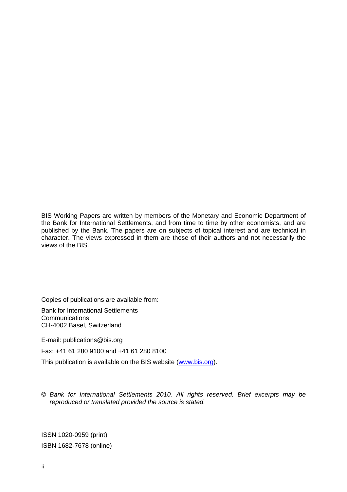BIS Working Papers are written by members of the Monetary and Economic Department of the Bank for International Settlements, and from time to time by other economists, and are published by the Bank. The papers are on subjects of topical interest and are technical in character. The views expressed in them are those of their authors and not necessarily the views of the BIS.

Copies of publications are available from:

Bank for International Settlements **Communications** CH-4002 Basel, Switzerland

E-mail: publications@bis.org

Fax: +41 61 280 9100 and +41 61 280 8100

This publication is available on the BIS website [\(www.bis.org](http://www.bis.org/)).

© *Bank for International Settlements 2010. All rights reserved. Brief excerpts may be reproduced or translated provided the source is stated.*

ISSN 1020-0959 (print) ISBN 1682-7678 (online)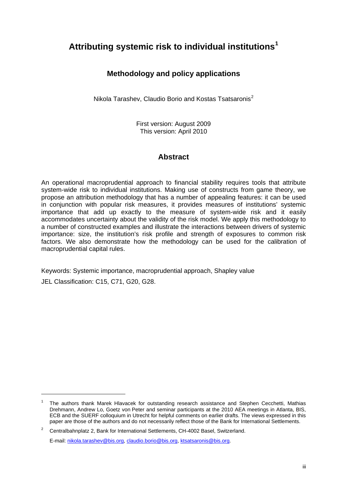# **Attributing systemic risk to individual institutions[1](#page-2-0)**

# **Methodology and policy applications**

Nikola Tarashev, Claudio Borio and Kostas Tsatsaronis<sup>[2](#page-2-1)</sup>

First version: August 2009 This version: April 2010

### **Abstract**

An operational macroprudential approach to financial stability requires tools that attribute system-wide risk to individual institutions. Making use of constructs from game theory, we propose an attribution methodology that has a number of appealing features: it can be used in conjunction with popular risk measures, it provides measures of institutions' systemic importance that add up exactly to the measure of system-wide risk and it easily accommodates uncertainty about the validity of the risk model. We apply this methodology to a number of constructed examples and illustrate the interactions between drivers of systemic importance: size, the institution's risk profile and strength of exposures to common risk factors. We also demonstrate how the methodology can be used for the calibration of macroprudential capital rules.

Keywords: Systemic importance, macroprudential approach, Shapley value

JEL Classification: C15, C71, G20, G28.

-

E-mail: [nikola.tarashev@bis.org](mailto:nikola.tarashev@bis.org), [claudio.borio@bis.org](mailto:claudio.borio@bis.org), [ktsatsaronis@bis.org.](mailto:ktsatsaronis@bis.org)

<span id="page-2-0"></span><sup>1</sup> The authors thank Marek Hlavacek for outstanding research assistance and Stephen Cecchetti, Mathias Drehmann, Andrew Lo, Goetz von Peter and seminar participants at the 2010 AEA meetings in Atlanta, BIS, ECB and the SUERF colloquium in Utrecht for helpful comments on earlier drafts. The views expressed in this paper are those of the authors and do not necessarily reflect those of the Bank for International Settlements.

<span id="page-2-1"></span><sup>2</sup> Centralbahnplatz 2, Bank for International Settlements, CH-4002 Basel, Switzerland.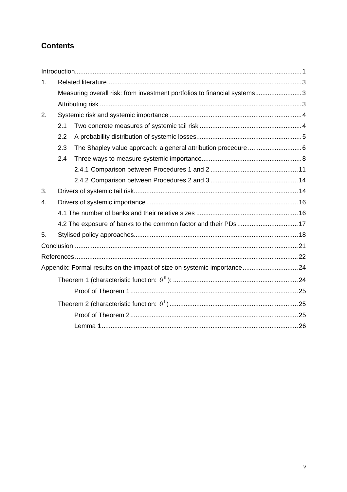# **Contents**

| 1. |                                                                          |                                                                  |  |  |  |  |  |  |
|----|--------------------------------------------------------------------------|------------------------------------------------------------------|--|--|--|--|--|--|
|    | Measuring overall risk: from investment portfolios to financial systems3 |                                                                  |  |  |  |  |  |  |
|    |                                                                          |                                                                  |  |  |  |  |  |  |
| 2. |                                                                          |                                                                  |  |  |  |  |  |  |
|    | 2.1                                                                      |                                                                  |  |  |  |  |  |  |
|    | 2.2                                                                      |                                                                  |  |  |  |  |  |  |
|    | 2.3                                                                      |                                                                  |  |  |  |  |  |  |
|    | 2.4                                                                      |                                                                  |  |  |  |  |  |  |
|    |                                                                          |                                                                  |  |  |  |  |  |  |
|    |                                                                          |                                                                  |  |  |  |  |  |  |
| 3. |                                                                          |                                                                  |  |  |  |  |  |  |
| 4. |                                                                          |                                                                  |  |  |  |  |  |  |
|    |                                                                          |                                                                  |  |  |  |  |  |  |
|    |                                                                          | 4.2 The exposure of banks to the common factor and their PDs  17 |  |  |  |  |  |  |
| 5. |                                                                          |                                                                  |  |  |  |  |  |  |
|    |                                                                          |                                                                  |  |  |  |  |  |  |
|    |                                                                          |                                                                  |  |  |  |  |  |  |
|    |                                                                          |                                                                  |  |  |  |  |  |  |
|    |                                                                          |                                                                  |  |  |  |  |  |  |
|    |                                                                          |                                                                  |  |  |  |  |  |  |
|    |                                                                          |                                                                  |  |  |  |  |  |  |
|    |                                                                          |                                                                  |  |  |  |  |  |  |
|    |                                                                          |                                                                  |  |  |  |  |  |  |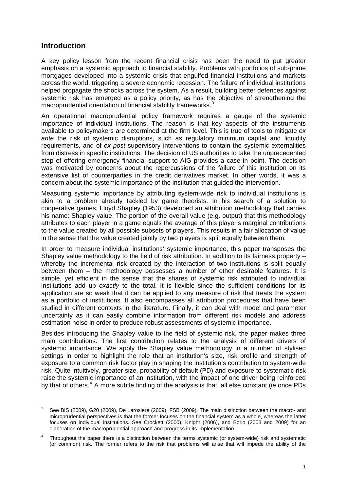#### **Introduction**

A key policy lesson from the recent financial crisis has been the need to put greater emphasis on a systemic approach to financial stability. Problems with portfolios of sub-prime mortgages developed into a systemic crisis that engulfed financial institutions and markets across the world, triggering a severe economic recession. The failure of individual institutions helped propagate the shocks across the system. As a result, building better defences against systemic risk has emerged as a policy priority, as has the objective of strengthening the macroprudential orientation of financial stability frameworks.<sup>[3](#page-6-1)</sup>

An operational macroprudential policy framework requires a gauge of the systemic importance of individual institutions. The reason is that key aspects of the instruments available to policymakers are determined at the firm level. This is true of tools to mitigate *ex ante* the risk of systemic disruptions, such as regulatory minimum capital and liquidity requirements, and of *ex post* supervisory interventions to contain the systemic externalities from distress in specific institutions. The decision of US authorities to take the unprecedented step of offering emergency financial support to AIG provides a case in point. The decision was motivated by concerns about the repercussions of the failure of this institution on its extensive list of counterparties in the credit derivatives market. In other words, it was a concern about the systemic importance of the institution that guided the intervention.

Measuring systemic importance by attributing system-wide risk to individual institutions is akin to a problem already tackled by game theorists. In his search of a solution to cooperative games, Lloyd Shapley (1953) developed an attribution methodology that carries his name: Shapley value. The portion of the overall value (e.g. output) that this methodology attributes to each player in a game equals the average of this player's marginal contributions to the value created by all possible subsets of players. This results in a fair allocation of value in the sense that the value created jointly by two players is split equally between them.

In order to measure individual institutions' systemic importance, this paper transposes the Shapley value methodology to the field of risk attribution. In addition to its fairness property – whereby the incremental risk created by the interaction of two institutions is split equally between them – the methodology possesses a number of other desirable features. It is simple, yet efficient in the sense that the shares of systemic risk attributed to individual institutions add up *exactly* to the total. It is flexible since the sufficient conditions for its application are so weak that it can be applied to any measure of risk that treats the system as a portfolio of institutions. It also encompasses all attribution procedures that have been studied in different contexts in the literature. Finally, it can deal with model and parameter uncertainty as it can easily combine information from different risk models and address estimation noise in order to produce robust assessments of systemic importance.

<span id="page-6-0"></span>Besides introducing the Shapley value to the field of systemic risk, the paper makes three main contributions. The first contribution relates to the analysis of different drivers of systemic importance. We apply the Shapley value methodology in a number of stylised settings in order to highlight the role that an institution's size, risk profile and strength of exposure to a common risk factor play in shaping the institution's contribution to system-wide risk. Quite intuitively, greater size, probability of default (PD) and exposure to systematic risk raise the systemic importance of an institution, with the impact of one driver being reinforced by that of others.<sup>[4](#page-6-2)</sup> A more subtle finding of the analysis is that, all else constant (ie once PDs

<span id="page-6-1"></span><sup>3</sup> See BIS (2009), G20 (2009), De Larosiere (2009), FSB (2009). The main distinction between the macro- and microprudential perspectives is that the former focuses on the financial system as a whole, whereas the latter focuses on individual institutions. See Crockett (2000), Knight (2006), and Borio (2003 and 2009) for an elaboration of the macroprudential approach and progress in its implementation.

<span id="page-6-2"></span><sup>4</sup> Throughout the paper there is a distinction between the terms systemic (or system-wide) risk and systematic (or common) risk. The former refers to the risk that problems will arise that will impede the ability of the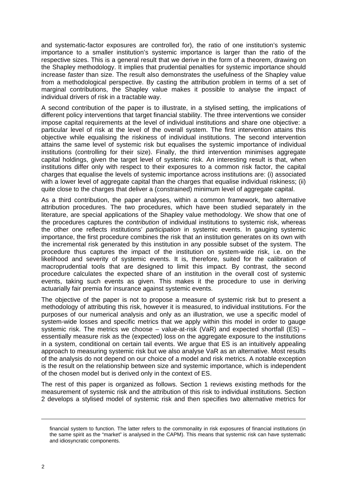and systematic-factor exposures are controlled for), the ratio of one institution's systemic importance to a smaller institution's systemic importance is larger than the ratio of the respective sizes. This is a general result that we derive in the form of a theorem, drawing on the Shapley methodology. It implies that prudential penalties for systemic importance should increase *faster* than size. The result also demonstrates the usefulness of the Shapley value from a methodological perspective. By casting the attribution problem in terms of a set of marginal contributions, the Shapley value makes it possible to analyse the impact of individual drivers of risk in a tractable way.

A second contribution of the paper is to illustrate, in a stylised setting, the implications of different policy interventions that target financial stability. The three interventions we consider impose capital requirements at the level of individual institutions and share one objective: a particular level of risk at the level of the overall system. The first intervention attains this objective while equalising the riskiness of individual institutions. The second intervention attains the same level of systemic risk but equalises the systemic importance of individual institutions (controlling for their size). Finally, the third intervention minimises aggregate capital holdings, given the target level of systemic risk. An interesting result is that, when institutions differ only with respect to their exposures to a common risk factor, the capital charges that equalise the levels of systemic importance across institutions are: (i) associated with a lower level of aggregate capital than the charges that equalise individual riskiness; (ii) quite close to the charges that deliver a (constrained) minimum level of aggregate capital.

As a third contribution, the paper analyses, within a common framework, two alternative attribution procedures. The two procedures, which have been studied separately in the literature, are special applications of the Shapley value methodology. We show that one of the procedures captures the *contribution* of individual institutions to systemic risk, whereas the other one reflects institutions' *participation* in systemic events. In gauging systemic importance, the first procedure combines the risk that an institution generates on its own with the incremental risk generated by this institution in any possible subset of the system. The procedure thus captures the impact of the institution on system-wide risk, i.e. on the likelihood and severity of systemic events. It is, therefore, suited for the calibration of macroprudential tools that are designed to limit this impact. By contrast, the second procedure calculates the expected share of an institution in the overall cost of systemic events, taking such events as given. This makes it the procedure to use in deriving actuarially fair premia for insurance against systemic events.

The objective of the paper is not to propose a measure of systemic risk but to present a methodology of attributing this risk, however it is measured, to individual institutions. For the purposes of our numerical analysis and only as an illustration, we use a specific model of system-wide losses and specific metrics that we apply within this model in order to gauge systemic risk. The metrics we choose – value-at-risk (VaR) and expected shortfall (ES) – essentially measure risk as the (expected) loss on the aggregate exposure to the institutions in a system, conditional on certain tail events. We argue that ES is an intuitively appealing approach to measuring systemic risk but we also analyse VaR as an alternative. Most results of the analysis do not depend on our choice of a model and risk metrics. A notable exception is the result on the relationship between size and systemic importance, which is independent of the chosen model but is derived only in the context of ES.

The rest of this paper is organized as follows. Section 1 reviews existing methods for the measurement of systemic risk and the attribution of this risk to individual institutions. Section 2 develops a stylised model of systemic risk and then specifies two alternative metrics for

financial system to function. The latter refers to the commonality in risk exposures of financial institutions (in the same spirit as the "market" is analysed in the CAPM). This means that systemic risk can have systematic and idiosyncratic components.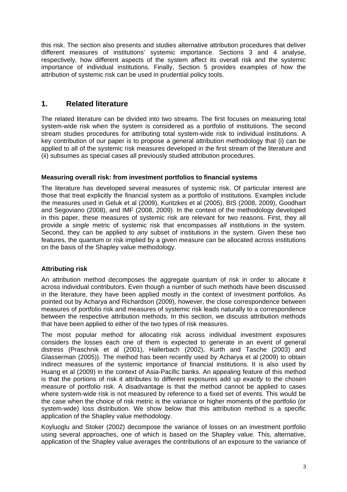this risk. The section also presents and studies alternative attribution procedures that deliver different measures of institutions' systemic importance. Sections 3 and 4 analyse, respectively, how different aspects of the system affect its overall risk and the systemic importance of individual institutions. Finally, Section 5 provides examples of how the attribution of systemic risk can be used in prudential policy tools.

#### <span id="page-8-0"></span>**1. Related literature**

The related literature can be divided into two streams. The first focuses on measuring total system-wide risk when the system is considered as a portfolio of institutions. The second stream studies procedures for attributing total system-wide risk to individual institutions. A key contribution of our paper is to propose a general attribution methodology that (i) can be applied to all of the systemic risk measures developed in the first stream of the literature and (ii) subsumes as special cases all previously studied attribution procedures.

#### <span id="page-8-1"></span>**Measuring overall risk: from investment portfolios to financial systems**

The literature has developed several measures of systemic risk. Of particular interest are those that treat explicitly the financial system as a portfolio of institutions. Examples include the measures used in Geluk et al (2009), Kuritzkes et al (2005), BIS (2008, 2009), Goodhart and Segoviano (2008), and IMF (2008, 2009). In the context of the methodology developed in this paper, these measures of systemic risk are relevant for two reasons. First, they all provide a *single* metric of systemic risk that encompasses *all* institutions in the system. Second, they can be applied to *any* subset of institutions in the system. Given these two features, the quantum or risk implied by a given measure can be allocated across institutions on the basis of the Shapley value methodology.

#### <span id="page-8-2"></span>**Attributing risk**

An attribution method decomposes the aggregate quantum of risk in order to allocate it across individual contributors. Even though a number of such methods have been discussed in the literature, they have been applied mostly in the context of investment portfolios. As pointed out by Acharya and Richardson (2009), however, the close correspondence between measures of portfolio risk and measures of systemic risk leads naturally to a correspondence between the respective attribution methods. In this section, we discuss attribution methods that have been applied to either of the two types of risk measures.

The most popular method for allocating risk across individual investment exposures considers the losses each one of them is expected to generate in an event of general distress (Praschnik et al (2001), Hallerbach (2002), Kurth and Tasche (2003) and Glasserman (2005)). The method has been recently used by Acharya et al (2009) to obtain indirect measures of the systemic importance of financial institutions. It is also used by Huang et al (2009) in the context of Asia-Pacific banks. An appealing feature of this method is that the portions of risk it attributes to different exposures add up *exactly* to the chosen measure of portfolio risk. A disadvantage is that the method cannot be applied to cases where system-wide risk is not measured by reference to a fixed set of events. This would be the case when the choice of risk metric is the variance or higher moments of the portfolio (or system-wide) loss distribution. We show below that this attribution method is a specific application of the Shapley value methodology.

Koyluoglu and Stoker (2002) decompose the variance of losses on an investment portfolio using several approaches, one of which is based on the Shapley value. This, alternative, application of the Shapley value averages the contributions of an exposure to the variance of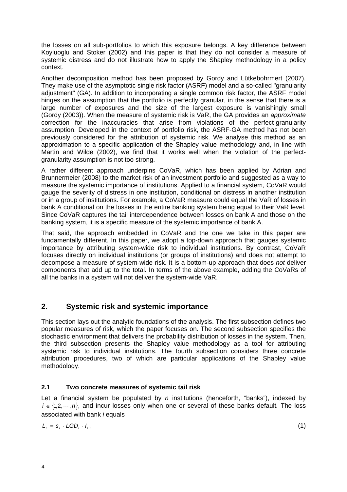the losses on all sub-portfolios to which this exposure belongs. A key difference between Koyluoglu and Stoker (2002) and this paper is that they do not consider a measure of systemic distress and do not illustrate how to apply the Shapley methodology in a policy context.

Another decomposition method has been proposed by Gordy and Lütkebohrmert (2007). They make use of the asymptotic single risk factor (ASRF) model and a so-called "granularity adjustment" (GA). In addition to incorporating a single common risk factor, the ASRF model hinges on the assumption that the portfolio is perfectly granular, in the sense that there is a large number of exposures and the size of the largest exposure is vanishingly small (Gordy (2003)). When the measure of systemic risk is VaR, the GA provides an *approximate* correction for the inaccuracies that arise from violations of the perfect-granularity assumption. Developed in the context of portfolio risk, the ASRF-GA method has not been previously considered for the attribution of systemic risk. We analyse this method as an approximation to a specific application of the Shapley value methodology and, in line with Martin and Wilde (2002), we find that it works well when the violation of the perfectgranularity assumption is not too strong.

A rather different approach underpins CoVaR, which has been applied by Adrian and Brunnermeier (2008) to the market risk of an investment portfolio and suggested as a way to measure the systemic importance of institutions. Applied to a financial system, CoVaR would gauge the severity of distress in one institution, conditional on distress in another institution or in a group of institutions. For example, a CoVaR measure could equal the VaR of losses in bank A conditional on the losses in the entire banking system being equal to their VaR level. Since CoVaR captures the tail interdependence between losses on bank A and those on the banking system, it is a specific measure of the systemic importance of bank A.

That said, the approach embedded in CoVaR and the one we take in this paper are fundamentally different. In this paper, we adopt a top-down approach that gauges systemic importance by attributing system-wide risk to individual institutions. By contrast, CoVaR focuses directly on individual institutions (or groups of institutions) and does not attempt to decompose a measure of system-wide risk. It is a bottom-up approach that does *not* deliver components that add up to the total. In terms of the above example, adding the CoVaRs of all the banks in a system will not deliver the system-wide VaR.

# <span id="page-9-0"></span>**2. Systemic risk and systemic importance**

This section lays out the analytic foundations of the analysis. The first subsection defines two popular measures of risk, which the paper focuses on. The second subsection specifies the stochastic environment that delivers the probability distribution of losses in the system. Then, the third subsection presents the Shapley value methodology as a tool for attributing systemic risk to individual institutions. The fourth subsection considers three concrete attribution procedures, two of which are particular applications of the Shapley value methodology.

#### <span id="page-9-1"></span>**2.1 Two concrete measures of systemic tail risk**

Let a financial system be populated by *n* institutions (henceforth, "banks"), indexed by  $i \in \{1, 2, \dots, n\}$ , and incur losses only when one or several of these banks default. The loss associated with bank *i* equals

$$
L_i = s_i \cdot LGD_i \cdot I_i, \tag{1}
$$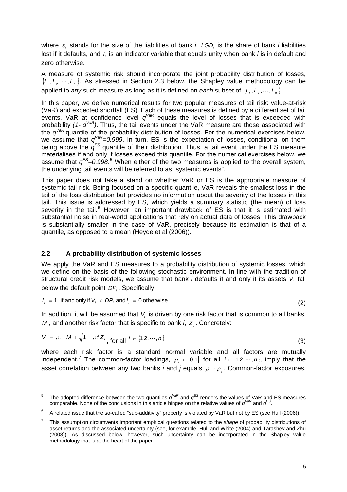where  $s_i$  stands for the size of the liabilities of bank *i*, LGD<sub>i</sub> is the share of bank *i* liabilities lost if it defaults, and  $I_i$  is an indicator variable that equals unity when bank *i* is in default and zero otherwise.

A measure of systemic risk should incorporate the joint probability distribution of losses,  $\{L_1, L_2, \dots, L_n\}$ . As stressed in Section 2.3 below, the Shapley value methodology can be applied to *any* such measure as long as it is defined on *each* subset of  $\{L_1, L_2, \dots, L_n\}$ .

In this paper, we derive numerical results for two popular measures of tail risk: value-at-risk (VaR) and expected shortfall (ES). Each of these measures is defined by a different set of tail events. VaR at confidence level *qVaR* equals the level of losses that is exceeded with probability *(1- qVaR)*. Thus, the tail events under the VaR measure are those associated with the *qVaR* quantile of the probability distribution of losses. For the numerical exercises below, we assume that *qVaR=0.999*. In turn, ES is the expectation of losses, conditional on them being above the *qES* quantile of their distribution*.* Thus, a tail event under the ES measure materialises if and only if losses exceed this quantile. For the numerical exercises below, we assume that  $q^{ES}=0.998$ <sup>[5](#page-10-1)</sup> When either of the two measures is applied to the overall system, the underlying tail events will be referred to as "systemic events".

This paper does not take a stand on whether VaR or ES is the appropriate measure of systemic tail risk. Being focused on a specific quantile, VaR reveals the smallest loss in the tail of the loss distribution but provides no information about the severity of the losses in this tail. This issue is addressed by ES, which yields a summary statistic (the mean) of loss severity in the tail.<sup>[6](#page-10-2)</sup> However, an important drawback of  $ES$  is that it is estimated with substantial noise in real-world applications that rely on actual data of losses. This drawback is substantially smaller in the case of VaR, precisely because its estimation is that of a quantile, as opposed to a mean (Heyde et al (2006)).

#### <span id="page-10-0"></span>**2.2 A probability distribution of systemic losses**

-

We apply the VaR and ES measures to a probability distribution of systemic losses, which we define on the basis of the following stochastic environment. In line with the tradition of structural credit risk models, we assume that bank *i* defaults if and only if its assets V<sub>i</sub> fall below the default point *DP<sub>i</sub>*. Specifically:

$$
I_i = 1 \text{ if and only if } V_i < DP_i \text{ and } I_i = 0 \text{ otherwise}
$$
\n
$$
\tag{2}
$$

In addition, it will be assumed that  $V_i$  is driven by one risk factor that is common to all banks,  $M$ , and another risk factor that is specific to bank  $i$ ,  $Z_i$ . Concretely:

$$
V_i = \rho_i \cdot M + \sqrt{1 - \rho_i^2} Z_i, \text{ for all } i \in \{1, 2, \cdots, n\}
$$
 (3)

where each risk factor is a standard normal variable and all factors are mutually independent.<sup>[7](#page-10-3)</sup> The common-factor loadings,  $\rho_i \in [0,1]$  for all  $i \in \{1,2,\cdots,n\}$ , imply that the asset correlation between any two banks *i* and *j* equals  $\rho_i \cdot \rho_j$ . Common-factor exposures,

<span id="page-10-1"></span><sup>5</sup> The adopted difference between the two quantiles  $q^{\text{VaR}}$  and  $q^{\text{ES}}$  renders the values of VaR and ES measures comparable. None of the conclusions in this article hinges on the relative values of *qVaR* and *qES*.

<span id="page-10-2"></span><sup>6</sup> A related issue that the so-called "sub-additivity" property is violated by VaR but not by ES (see Hull (2006)).

<span id="page-10-3"></span><sup>7</sup> This assumption circumvents important empirical questions related to the *shape* of probability distributions of asset returns and the associated uncertainty (see, for example, Hull and White (2004) and Tarashev and Zhu (2008)). As discussed below, however, such uncertainty can be incorporated in the Shapley value methodology that is at the heart of the paper.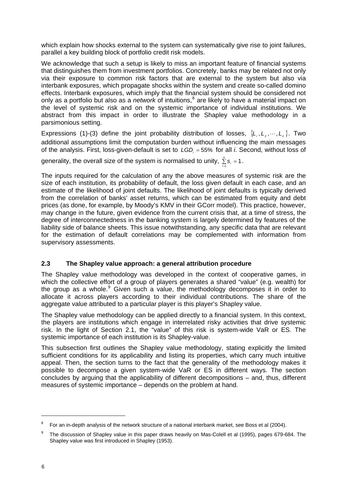which explain how shocks external to the system can systematically give rise to joint failures, parallel a key building block of portfolio credit risk models.

We acknowledge that such a setup is likely to miss an important feature of financial systems that distinguishes them from investment portfolios. Concretely, banks may be related not only via their exposure to common risk factors that are external to the system but also via interbank exposures, which propagate shocks within the system and create so-called domino effects. Interbank exposures, which imply that the financial system should be considered not only as a portfolio but also as a *network* of intuitions,<sup>[8](#page-11-1)</sup> are likely to have a material impact on the level of systemic risk and on the systemic importance of individual institutions. We abstract from this impact in order to illustrate the Shapley value methodology in a parsimonious setting.

Expressions (1)-(3) define the joint probability distribution of losses,  $\{L_1, L_2, \dots, L_n\}$ . Two additional assumptions limit the computation burden without influencing the main messages of the analysis. First, loss-given-default is set to *LGD*<sub>*i*</sub> = 55% for all *i*. Second, without loss of

generality, the overall size of the system is normalised to unity,  $\sum\limits_{i=1}^n s_i = 1$ .  $\sum_{i=1}^n S_i$ 

The inputs required for the calculation of any the above measures of systemic risk are the size of each institution, its probability of default, the loss given default in each case, and an estimate of the likelihood of joint defaults. The likelihood of joint defaults is typically derived from the correlation of banks' asset returns, which can be estimated from equity and debt prices (as done, for example, by Moody's KMV in their GCorr model). This practice, however, may change in the future, given evidence from the current crisis that, at a time of stress, the degree of interconnectedness in the banking system is largely determined by features of the liability side of balance sheets. This issue notwithstanding, any specific data that are relevant for the estimation of default correlations may be complemented with information from supervisory assessments.

#### <span id="page-11-0"></span>**2.3 The Shapley value approach: a general attribution procedure**

The Shapley value methodology was developed in the context of cooperative games, in which the collective effort of a group of players generates a shared "value" (e.g. wealth) for the group as a whole.<sup>[9](#page-11-2)</sup> Given such a value, the methodology decomposes it in order to allocate it across players according to their individual contributions. The share of the aggregate value attributed to a particular player is this player's Shapley value.

The Shapley value methodology can be applied directly to a financial system. In this context, the players are institutions which engage in interrelated risky activities that drive systemic risk. In the light of Section 2.1, the "value" of this risk is system-wide VaR or ES. The systemic importance of each institution is its Shapley-value.

This subsection first outlines the Shapley value methodology, stating explicitly the limited sufficient conditions for its applicability and listing its properties, which carry much intuitive appeal. Then, the section turns to the fact that the generality of the methodology makes it possible to decompose a given system-wide VaR or ES in different ways. The section concludes by arguing that the applicability of different decompositions – and, thus, different measures of systemic importance – depends on the problem at hand.

-

<span id="page-11-1"></span><sup>8</sup> For an in-depth analysis of the network structure of a national interbank market, see Boss et al (2004).

<span id="page-11-2"></span><sup>9</sup> The discussion of Shapley value in this paper draws heavily on Mas-Colell et al (1995), pages 679-684. The Shapley value was first introduced in Shapley (1953).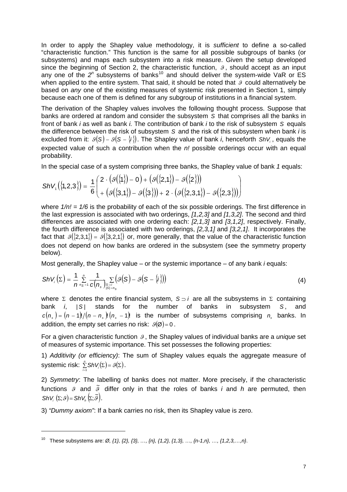In order to apply the Shapley value methodology, it is *sufficient* to define a so-called "characteristic function." This function is the same for all possible subgroups of banks (or subsystems) and maps each subsystem into a risk measure. Given the setup developed since the beginning of Section 2, the characteristic function,  $\beta$ , should accept as an input any one of the 2<sup>*n*</sup> subsystems of banks<sup>[10](#page-12-0)</sup> and should deliver the system-wide VaR or ES when applied to the entire system. That said, it should be noted that  $\theta$  could alternatively be based on *any* one of the existing measures of systemic risk presented in Section 1, simply because each one of them is defined for any subgroup of institutions in a financial system.

The derivation of the Shapley values involves the following thought process. Suppose that banks are ordered at random and consider the subsystem *S* that comprises all the banks in front of bank *i* as well as bank *i.* The contribution of bank *i* to the risk of subsystem *S* equals the difference between the risk of subsystem *S* and the risk of this subsystem when bank *i* is excluded from it:  $\vartheta(S)$  –  $\vartheta(S - \{i\})$ . The Shapley value of bank *i*, henceforth ShV<sub>i</sub>, equals the expected value of such a contribution when the *n!* possible orderings occur with an equal probability.

In the special case of a system comprising three banks, the Shapley value of bank *1* equals:  $\mathcal{L}$ 

$$
ShV_{1}(\{1,2,3\}) = \frac{1}{6} \begin{pmatrix} 2 \cdot (3(\{1\})-0) + (3(\{2,1\})-3(\{2\})) \\ + (3(\{3,1\})-3(\{3\})) + 2 \cdot (3(\{2,3,1\})-3(\{2,3\})) \end{pmatrix}
$$

 $\sim 100$ 

where  $1/n! = 1/6$  is the probability of each of the six possible orderings. The first difference in the last expression is associated with two orderings, *[1,2,3]* and *[1,3,2]*. The second and third differences are associated with one ordering each: *[2,1,3]* and *[3,1,2]*, respectively. Finally, the fourth difference is associated with two orderings, *[2,3,1]* and *[3,2,1]*. It incorporates the fact that  $\mathcal{G}(\{2,3,1\}) = \mathcal{G}(\{3,2,1\})$  or, more generally, that the value of the characteristic function does not depend on how banks are ordered in the subsystem (see the symmetry property below).

Most generally, the Shapley value – or the systemic importance – of any bank *i* equals:

$$
ShV_i(\Sigma) = \frac{1}{n} \sum_{n_S=1}^n \frac{1}{c(n_s)} \sum_{\substack{S \supset i \\ |S| = n_S}} \bigl(g(S) - g(S - \{i\})\bigr)
$$
(4)

where  $\Sigma$  denotes the entire financial system,  $S \supset i$  are all the subsystems in  $\Sigma$  containing bank *i*,  $|S|$  stands for the number of banks in subsystem *S*, and  $c(n_s) = (n-1)/(n-n_s) (n_s - 1)$  is the number of subsystems comprising  $n_s$  banks. In addition, the empty set carries no risk:  $\mathcal{G}(\emptyset) = 0$ .

For a given characteristic function 9, the Shapley values of individual banks are a *unique* set of measures of systemic importance. This set possesses the following properties:

1) *Additivity (or efficiency)*: The sum of Shapley values equals the aggregate measure of systemic risk:  $\sum_{i=1}^{n} ShV_{i}(\Sigma) = \mathcal{G}(\Sigma)$ .

2) *Symmetry*: The labelling of banks does not matter. More precisely, if the characteristic functions  $\mathcal{G}$  and  $\tilde{\mathcal{G}}$  differ only in that the roles of banks *i* and *h* are permuted, then  $ShV_i(\Sigma; g) = ShV_i(\Sigma; \tilde{g}).$ 

3) *"Dummy axiom"*: If a bank carries no risk, then its Shapley value is zero.

 $\overline{a}$ 

<span id="page-12-0"></span><sup>10</sup> These subsystems are: *Ø, {1}, {2}, {3}, …, {n}, {1,2}, {1,3}, …, {n-1,n}, …, {1,2,3,…,n}*.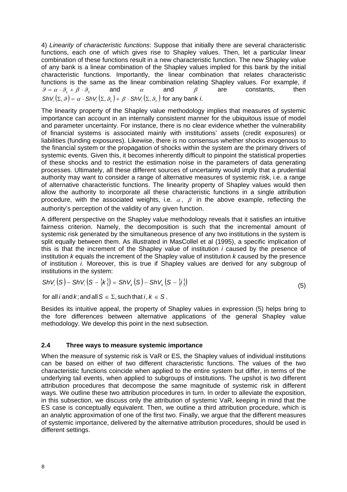4) *Linearity of characteristic functions*: Suppose that initially there are several characteristic functions, each one of which gives rise to Shapley values. Then, let a particular linear combination of these functions result in a new characteristic function. The new Shapley value of any bank is a linear combination of the Shapley values implied for this bank by the initial characteristic functions. Importantly, the linear combination that relates characteristic functions is the same as the linear combination relating Shapley values. For example, if  $\mathcal{G} = \alpha \cdot \mathcal{G} + \beta \cdot \mathcal{G}$ , and  $\alpha$  and  $\beta$  are constants, then  $ShV_i(\Sigma, \mathcal{G}) = \alpha \cdot ShV_i(\Sigma, \mathcal{G}) + \beta \cdot ShV_i(\Sigma, \mathcal{G})$  for any bank *i*.

The linearity property of the Shapley value methodology implies that measures of systemic importance can account in an internally consistent manner for the ubiquitous issue of model and parameter uncertainty. For instance, there is no clear evidence whether the vulnerability of financial systems is associated mainly with institutions' assets (credit exposures) or liabilities (funding exposures). Likewise, there is no consensus whether shocks exogenous to the financial system or the propagation of shocks within the system are the primary drivers of systemic events. Given this, it becomes inherently difficult to pinpoint the statistical properties of these shocks and to restrict the estimation noise in the parameters of data generating processes. Ultimately, all these different sources of uncertainty would imply that a prudential authority may want to consider a range of alternative measures of systemic risk, i.e. a range of alternative characteristic functions. The linearity property of Shapley values would then allow the authority to incorporate all these characteristic functions in a single attribution procedure, with the associated weights, i.e.  $\alpha$ ,  $\beta$  in the above example, reflecting the authority's perception of the validity of any given function.

A different perspective on the Shapley value methodology reveals that it satisfies an intuitive fairness criterion. Namely, the decomposition is such that the incremental amount of systemic risk generated by the simultaneous presence of any two institutions in the system is split equally between them. As illustrated in MasCollel et al (1995), a specific implication of this is that the increment of the Shapley value of institution *i* caused by the presence of institution *k* equals the increment of the Shapley value of institution *k* caused by the presence of institution *i*. Moreover, this is true if Shapley values are derived for any subgroup of institutions in the system:

$$
ShV_i(S) - ShV_i(S - \{k\}) = ShV_k(S) - ShV_k(S - \{i\})
$$
\n(5)

for all *i* and *k*; and all  $S \in \Sigma$ , such that  $i, k \in S$ .

Besides its intuitive appeal, the property of Shapley values in expression (5) helps bring to the fore differences between alternative applications of the general Shapley value methodology. We develop this point in the next subsection.

#### <span id="page-13-0"></span>**2.4 Three ways to measure systemic importance**

When the measure of systemic risk is VaR or ES, the Shapley values of individual institutions can be based on either of two different characteristic functions. The values of the two characteristic functions coincide when applied to the entire system but differ, in terms of the underlying tail events, when applied to subgroups of institutions. The upshot is two different attribution procedures that decompose the same magnitude of systemic risk in different ways. We outline these two attribution procedures in turn. In order to alleviate the exposition, in this subsection, we discuss only the attribution of systemic VaR, keeping in mind that the ES case is conceptually equivalent. Then, we outline a third attribution procedure, which is an analytic approximation of one of the first two. Finally, we argue that the different measures of systemic importance, delivered by the alternative attribution procedures, should be used in different settings.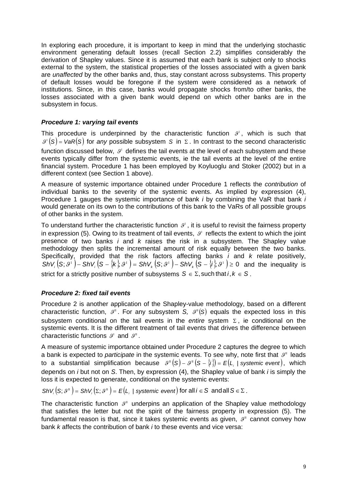In exploring each procedure, it is important to keep in mind that the underlying stochastic environment generating default losses (recall Section 2.2) simplifies considerably the derivation of Shapley values. Since it is assumed that each bank is subject only to shocks external to the system, the statistical properties of the losses associated with a given bank are *unaffected* by the other banks and, thus, stay constant across subsystems. This property of default losses would be foregone if the system were considered as a network of institutions. Since, in this case, banks would propagate shocks from/to other banks, the losses associated with a given bank would depend on which other banks are in the subsystem in focus.

#### *Procedure 1: varying tail events*

This procedure is underpinned by the characteristic function  $\mathcal{G}^1$ , which is such that  $\mathcal{G}^{\dagger}(S)$  = VaR $(S)$  for *any* possible subsystem *S* in  $\Sigma$ . In contrast to the second characteristic function discussed below,  $\vartheta^1$  defines the tail events at the level of each subsystem and these events typically differ from the systemic events, ie the tail events at the level of the entire financial system. Procedure 1 has been employed by Koyluoglu and Stoker (2002) but in a different context (see Section 1 above).

A measure of systemic importance obtained under Procedure 1 reflects the *contribution* of individual banks to the severity of the systemic events. As implied by expression (4), Procedure 1 gauges the systemic importance of bank *i* by combining the VaR that bank *i*  would generate on its own to the contributions of this bank to the VaRs of all possible groups of other banks in the system.

To understand further the characteristic function  $\mathcal{S}^1$ , it is useful to revisit the fairness property in expression (5). Owing to its treatment of tail events,  $\mathcal{G}^1$  reflects the extent to which the joint presence of two banks *i* and *k* raises the risk in a subsystem. The Shapley value methodology then splits the incremental amount of risk equally between the two banks. Specifically, provided that the risk factors affecting banks *i* and *k* relate positively,  $\mathsf{ShV}_{i}\left(S;\mathcal{G}^{\perp}\right) - \mathsf{ShV}_{i}\left(S - \{\mathsf{k}\},\mathcal{G}^{\perp}\right) = \mathsf{ShV}_{k}\left(S;\mathcal{G}^{\perp}\right) - \mathsf{ShV}_{k}\left(S - \{\mathsf{i}\},\mathcal{G}^{\perp}\right) \geq 0$  and the inequality is strict for a strictly positive number of subsystems  $S \in \Sigma$ , such that  $i, k \in S$ .

#### *Procedure 2: fixed tail events*

Procedure 2 is another application of the Shapley-value methodology, based on a different characteristic function,  $\mathcal{S}^{\mu}$ . For any subsystem *S*,  $\mathcal{S}^{\mu}(S)$  equals the expected loss in this subsystem conditional on the tail events in the *entire* system  $\Sigma$ , ie conditional on the systemic events. It is the different treatment of tail events that drives the difference between characteristic functions  $\mathcal{G}^I$  and  $\mathcal{G}^I$ .

A measure of systemic importance obtained under Procedure 2 captures the degree to which a bank is expected to *participate* in the systemic events. To see why, note first that  $\mathcal{G}^{\text{II}}$  leads to a substantial simplification because  $\mathscr{S}^{\pi}(S) - \mathscr{S}^{\pi}(S - \{i\}) = E(L_i \mid \text{systemic event}),$  which depends on *i* but not on *S*. Then, by expression (4), the Shapley value of bank *i* is simply the loss it is expected to generate, conditional on the systemic events:

*ShV*  $(S; \mathcal{G}^{\mathbb{I}}) = ShV(\Sigma; \mathcal{G}^{\mathbb{I}}) = E(L)$  *systemic event* for all  $i \in S$  and all  $S \in \Sigma$ .

The characteristic function  $9^{\text{II}}$  underpins an application of the Shapley value methodology that satisfies the letter but not the spirit of the fairness property in expression (5). The fundamental reason is that, since it takes systemic events as given,  $\mathcal{S}^{\text{\tiny{II}}}$  cannot convey how bank *k* affects the contribution of bank *i* to these events and vice versa: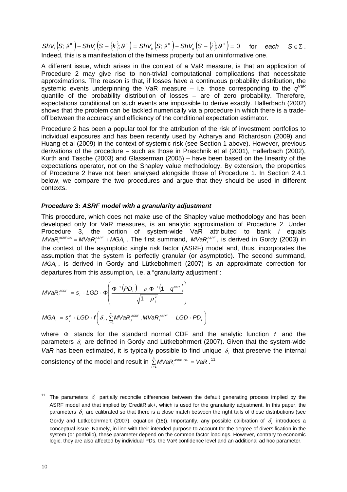$\mathsf{ShV}_{i}\left(\mathsf{S};\vartheta^{\mathrm{T}}\right) - \mathsf{ShV}_{i}\left(\mathsf{S}-\{k\};\vartheta^{\mathrm{T}}\right) = \mathsf{ShV}_{k}\left(\mathsf{S};\vartheta^{\mathrm{T}}\right) - \mathsf{ShV}_{k}\left(\mathsf{S}-\{i\};\vartheta^{\mathrm{T}}\right) = 0$  for each  $\mathsf{S} \in \Sigma$ . Indeed, this is a manifestation of the fairness property but an uninformative one.

A different issue, which arises in the context of a VaR measure, is that an application of Procedure 2 may give rise to non-trivial computational complications that necessitate approximations. The reason is that, if losses have a continuous probability distribution, the systemic events underpinning the VaR measure – i.e. those corresponding to the *qVaR* quantile of the probability distribution of losses – are of zero probability. Therefore, expectations conditional on such events are impossible to derive exactly. Hallerbach (2002) shows that the problem can be tackled numerically via a procedure in which there is a tradeoff between the accuracy and efficiency of the conditional expectation estimator.

Procedure 2 has been a popular tool for the attribution of the risk of investment portfolios to individual exposures and has been recently used by Acharya and Richardson (2009) and Huang et al (2009) in the context of systemic risk (see Section 1 above). However, previous derivations of the procedure – such as those in Praschnik et al (2001), Hallerbach (2002), Kurth and Tasche (2003) and Glasserman (2005) – have been based on the linearity of the expectations operator, not on the Shapley value methodology. By extension, the properties of Procedure 2 have not been analysed alongside those of Procedure 1. In Section 2.4.1 below, we compare the two procedures and argue that they should be used in different contexts.

#### *Procedure 3: ASRF model with a granularity adjustment*

This procedure, which does not make use of the Shapley value methodology and has been developed only for VaR measures, is an analytic approximation of Procedure 2. Under Procedure 3, the portion of system-wide VaR attributed to bank *i* equals  $MVaR_i^{ASRF,GA} = MVaR_i^{ASRF} + MGA_i$ . The first summand,  $MVaR_i^{ASRF}$ , is derived in Gordy (2003) in the context of the asymptotic single risk factor (ASRF) model and, thus, incorporates the assumption that the system is perfectly granular (or asymptotic). The second summand, MGA<sub>i</sub>, is derived in Gordy and Lütkebohmert (2007) is an approximate correction for departures from this assumption, i.e. a "granularity adjustment":

$$
W\langle AR_i^{ASRF} = s_i \cdot LGD \cdot \Phi\left(\frac{\Phi^{-1}(PD_i) - \rho_i \Phi^{-1}(1-q^{\vee_{\text{BR}}})}{\sqrt{1-\rho_i^2}}\right)
$$

$$
MGA_i = s_i^2 \cdot LGD \cdot f\left(\delta_i, \sum_{j=1}^n MVaR_j^{ASRF}, MVaR_i^{ASRF} - LGD \cdot PD_i\right)
$$

where  $\Phi$  stands for the standard normal CDF and the analytic function  $f$  and the parameters  $\delta_i$  are defined in Gordy and Lütkebohrmert (2007). Given that the system-wide *VaR* has been estimated, it is typically possible to find unique  $\delta_i$  that preserve the internal consistency of the model and result in  $\sum\limits_{i=1}^n MVaR_i^{ASRF,GA} = VaR$ .  $\sum_{i=1}^n MVaR_i^{ASRF,GA} = VaR$ .<sup>[11](#page-15-0)</sup>

 $\overline{a}$ 

<span id="page-15-0"></span><sup>&</sup>lt;sup>11</sup> The parameters  $\delta_i$  partially reconcile differences between the default generating process implied by the ASRF model and that implied by CreditRisk+, which is used for the granularity adjustment. In this paper, the parameters  $\delta_i$  are calibrated so that there is a close match between the right tails of these distributions (see Gordy and Lütkebohrmert (2007), equation (18)). Importantly, any possible calibration of  $\delta_i$  introduces a conceptual issue. Namely, in line with their intended purpose to account for the degree of diversification in the system (or portfolio), these parameter depend on the common factor loadings. However, contrary to economic logic, they are also affected by individual PDs, the VaR confidence level and an additional ad hoc parameter.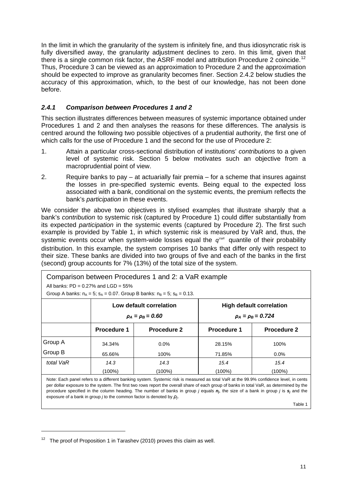In the limit in which the granularity of the system is infinitely fine, and thus idiosyncratic risk is fully diversified away, the granularity adjustment declines to zero. In this limit, given that there is a single common risk factor, the ASRF model and attribution Procedure 2 coincide.<sup>[12](#page-16-1)</sup> Thus, Procedure 3 can be viewed as an approximation to Procedure 2 and the approximation should be expected to improve as granularity becomes finer. Section 2.4.2 below studies the accuracy of this approximation, which, to the best of our knowledge, has not been done before.

#### <span id="page-16-0"></span>*2.4.1 Comparison between Procedures 1 and 2*

This section illustrates differences between measures of systemic importance obtained under Procedures 1 and 2 and then analyses the reasons for these differences. The analysis is centred around the following two possible objectives of a prudential authority, the first one of which calls for the use of Procedure 1 and the second for the use of Procedure 2:

- 1. Attain a particular cross-sectional distribution of institutions' *contributions* to a given level of systemic risk. Section 5 below motivates such an objective from a macroprudential point of view.
- 2. Require banks to pay at actuarially fair premia for a scheme that insures against the losses in pre-specified systemic events. Being equal to the expected loss associated with a bank, conditional on the systemic events, the premium reflects the bank's *participation* in these events.

We consider the above two objectives in stylised examples that illustrate sharply that a bank's *contribution* to systemic risk (captured by Procedure 1) could differ substantially from its expected *participation* in the systemic events (captured by Procedure 2). The first such example is provided by Table 1, in which systemic risk is measured by VaR and, thus, the systemic events occur when system-wide losses equal the  $q^{\text{Var}}$  quantile of their probability distribution. In this example, the system comprises 10 banks that differ only with respect to their size. These banks are divided into two groups of five and each of the banks in the first (second) group accounts for 7% (13%) of the total size of the system.

| Comparison between Procedures 1 and 2: a VaR example<br>All banks: $PD = 0.27\%$ and $LGD = 55\%$<br>Group A banks: $n_A = 5$ ; $s_A = 0.07$ . Group B banks: $n_B = 5$ ; $s_B = 0.13$ . |                                                                                                                     |             |                    |         |  |  |  |  |  |
|------------------------------------------------------------------------------------------------------------------------------------------------------------------------------------------|---------------------------------------------------------------------------------------------------------------------|-------------|--------------------|---------|--|--|--|--|--|
|                                                                                                                                                                                          | Low default correlation<br><b>High default correlation</b><br>$\rho_A = \rho_B = 0.724$<br>$\rho_A = \rho_B = 0.60$ |             |                    |         |  |  |  |  |  |
|                                                                                                                                                                                          | Procedure 1                                                                                                         | Procedure 1 | <b>Procedure 2</b> |         |  |  |  |  |  |
| Group A                                                                                                                                                                                  | 34.34%                                                                                                              | $0.0\%$     | 28.15%             | 100%    |  |  |  |  |  |
| Group B                                                                                                                                                                                  | 65.66%                                                                                                              | 100%        | 71.85%             | $0.0\%$ |  |  |  |  |  |
| total VaR                                                                                                                                                                                | 14.3                                                                                                                | 14.3        | 15.4               | 15.4    |  |  |  |  |  |
| $(100\%)$<br>(100%)<br>(100%)<br>$(100\%)$                                                                                                                                               |                                                                                                                     |             |                    |         |  |  |  |  |  |
| Note: Each panel refers to a different banking system. Systemic risk is measured as total VaR at the 99.9% confidence level, in cents                                                    |                                                                                                                     |             |                    |         |  |  |  |  |  |

per dollar exposure to the system. The first two rows report the overall share of each group of banks in total VaR, as determined by the procedure specified in the column heading. The number of banks in group *j* equals *nj*, the size of a bank in group *j* is *sj* and the exposure of a bank in group *j* to the common factor is denoted by *ρj*.

Table 1

 $\overline{a}$ 

<span id="page-16-1"></span> $12$  The proof of Proposition 1 in Tarashev (2010) proves this claim as well.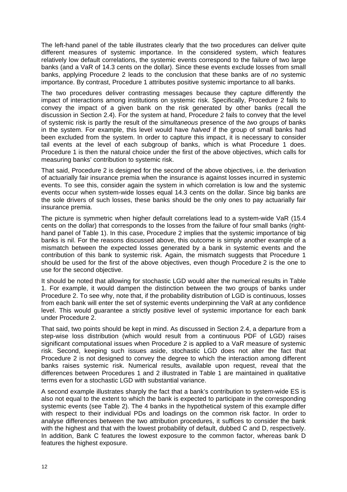The left-hand panel of the table illustrates clearly that the two procedures can deliver quite different measures of systemic importance. In the considered system, which features relatively low default correlations, the systemic events correspond to the failure of two large banks (and a VaR of 14.3 cents on the dollar). Since these events exclude losses from small banks, applying Procedure 2 leads to the conclusion that these banks are of *no* systemic importance. By contrast, Procedure 1 attributes positive systemic importance to all banks.

The two procedures deliver contrasting messages because they capture differently the impact of interactions among institutions on systemic risk. Specifically, Procedure 2 fails to convey the impact of a given bank on the risk generated by other banks (recall the discussion in Section 2.4). For the system at hand, Procedure 2 fails to convey that the level of systemic risk is partly the result of the *simultaneous* presence of the *two* groups of banks in the system. For example, this level would have *halved* if the group of small banks had been excluded from the system. In order to capture this impact, it is necessary to consider tail events at the level of each subgroup of banks, which is what Procedure 1 does. Procedure 1 is then the natural choice under the first of the above objectives, which calls for measuring banks' contribution to systemic risk.

That said, Procedure 2 is designed for the second of the above objectives, i.e. the derivation of actuarially fair insurance premia when the insurance is against losses incurred in systemic events. To see this, consider again the system in which correlation is low and the systemic events occur when system-wide losses equal 14.3 cents on the dollar. Since big banks are the sole drivers of such losses, these banks should be the only ones to pay actuarially fair insurance premia.

The picture is symmetric when higher default correlations lead to a system-wide VaR (15.4 cents on the dollar) that corresponds to the losses from the failure of four small banks (righthand panel of Table 1). In this case, Procedure 2 implies that the systemic importance of big banks is nil. For the reasons discussed above, this outcome is simply another example of a mismatch between the expected losses generated by a bank in systemic events and the contribution of this bank to systemic risk. Again, the mismatch suggests that Procedure 1 should be used for the first of the above objectives, even though Procedure 2 is the one to use for the second objective.

It should be noted that allowing for stochastic LGD would alter the numerical results in Table 1. For example, it would dampen the distinction between the two groups of banks under Procedure 2. To see why, note that, if the probability distribution of LGD is continuous, losses from each bank will enter the set of systemic events underpinning the VaR at any confidence level. This would guarantee a strictly positive level of systemic importance for each bank under Procedure 2.

That said, two points should be kept in mind. As discussed in Section 2.4, a departure from a step-wise loss distribution (which would result from a continuous PDF of LGD) raises significant computational issues when Procedure 2 is applied to a VaR measure of systemic risk. Second, keeping such issues aside, stochastic LGD does not alter the fact that Procedure 2 is not designed to convey the degree to which the interaction among different banks raises systemic risk. Numerical results, available upon request, reveal that the differences between Procedures 1 and 2 illustrated in Table 1 are maintained in qualitative terms even for a stochastic LGD with substantial variance.

A second example illustrates sharply the fact that a bank's contribution to system-wide ES is also not equal to the extent to which the bank is expected to participate in the corresponding systemic events (see Table 2). The 4 banks in the hypothetical system of this example differ with respect to their individual PDs and loadings on the common risk factor. In order to analyse differences between the two attribution procedures, it suffices to consider the bank with the highest and that with the lowest probability of default, dubbed C and D, respectively. In addition, Bank C features the lowest exposure to the common factor, whereas bank D features the highest exposure.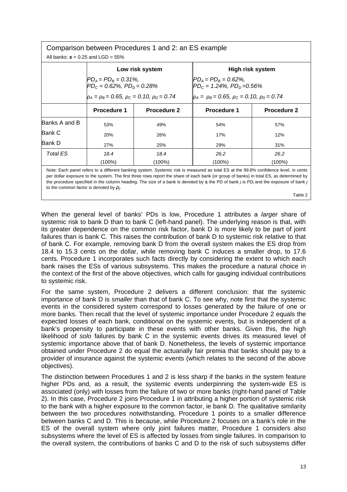| Comparison between Procedures 1 and 2: an ES example                                                                                                                                                                                                                            |                                                                                                                                                                                                                                                                      |                    |                    |                    |  |  |  |  |  |  |
|---------------------------------------------------------------------------------------------------------------------------------------------------------------------------------------------------------------------------------------------------------------------------------|----------------------------------------------------------------------------------------------------------------------------------------------------------------------------------------------------------------------------------------------------------------------|--------------------|--------------------|--------------------|--|--|--|--|--|--|
| All banks: $s = 0.25$ and LGD = 55%                                                                                                                                                                                                                                             |                                                                                                                                                                                                                                                                      |                    |                    |                    |  |  |  |  |  |  |
|                                                                                                                                                                                                                                                                                 | Low risk system<br>High risk system                                                                                                                                                                                                                                  |                    |                    |                    |  |  |  |  |  |  |
|                                                                                                                                                                                                                                                                                 | $PD_A = PD_B = 0.31\%,$<br>$P_{A} = PD_{B} = 0.62\%$ ,<br>$P_{Dc} = 1.24\%$ , $PD_{D} = 0.56\%$<br>$PD_c = 0.62\%$ , $PD_p = 0.28\%$<br>$\rho_A = \rho_B = 0.65$ , $\rho_C = 0.10$ , $\rho_D = 0.74$<br>$\rho_A = \rho_B = 0.65$ , $\rho_C = 0.10$ , $\rho_D = 0.74$ |                    |                    |                    |  |  |  |  |  |  |
|                                                                                                                                                                                                                                                                                 | <b>Procedure 1</b>                                                                                                                                                                                                                                                   | <b>Procedure 2</b> | <b>Procedure 1</b> | <b>Procedure 2</b> |  |  |  |  |  |  |
| Banks A and B                                                                                                                                                                                                                                                                   | 53%                                                                                                                                                                                                                                                                  | 49%                | 54%                | 57%                |  |  |  |  |  |  |
| Bank C                                                                                                                                                                                                                                                                          | 20%                                                                                                                                                                                                                                                                  | 26%                | 17%                | 12%                |  |  |  |  |  |  |
| Bank D<br>27%<br>25%<br>29%<br>31%                                                                                                                                                                                                                                              |                                                                                                                                                                                                                                                                      |                    |                    |                    |  |  |  |  |  |  |
| <b>Total ES</b>                                                                                                                                                                                                                                                                 | 18.4                                                                                                                                                                                                                                                                 | 18.4               | 26.2               | 26.2               |  |  |  |  |  |  |
|                                                                                                                                                                                                                                                                                 | (100%)<br>(100%)<br>$(100\%)$<br>$(100\%)$                                                                                                                                                                                                                           |                    |                    |                    |  |  |  |  |  |  |
| Note: Each panel refers to a different banking system. Systemic risk is measured as total ES at the 99.8% confidence level, in cents<br>per dollar exposure to the system. The first three rows report the share of each bank (or group of banks) in total ES, as determined by |                                                                                                                                                                                                                                                                      |                    |                    |                    |  |  |  |  |  |  |

the procedure specified in the column heading. The size of a bank is denoted by *s***,** the PD of bank *j* is *PDj* and the exposure of bank *j* to the common factor is denoted by *ρj*.

Table 2

When the general level of banks' PDs is low, Procedure 1 attributes a *larger* share of systemic risk to bank D than to bank C (left-hand panel). The underlying reason is that, with its greater dependence on the common risk factor, bank D is more likely to be part of joint failures than is bank C. This raises the contribution of bank D to systemic risk relative to that of bank C. For example, removing bank D from the overall system makes the ES drop from 18.4 to 15.3 cents on the dollar, while removing bank C induces a smaller drop, to 17.6 cents. Procedure 1 incorporates such facts directly by considering the extent to which each bank raises the ESs of various subsystems. This makes the procedure a natural choice in the context of the first of the above objectives, which calls for gauging individual contributions to systemic risk.

For the same system, Procedure 2 delivers a different conclusion: that the systemic importance of bank D is *smaller* than that of bank C. To see why, note first that the systemic events in the considered system correspond to losses generated by the failure of one or more banks. Then recall that the level of systemic importance under Procedure 2 equals the expected losses of each bank, conditional on the systemic events, but is independent of a bank's propensity to participate in these events with other banks. Given this, the high likelihood of *solo* failures by bank C in the systemic events drives its measured level of systemic importance above that of bank D. Nonetheless, the levels of systemic importance obtained under Procedure 2 do equal the actuarially fair premia that banks should pay to a provider of insurance against the systemic events (which relates to the second of the above objectives).

The distinction between Procedures 1 and 2 is less sharp if the banks in the system feature higher PDs and, as a result, the systemic events underpinning the system-wide ES is associated (only) with losses from the failure of two or more banks (right-hand panel of Table 2). In this case, Procedure 2 joins Procedure 1 in attributing a higher portion of systemic risk to the bank with a higher exposure to the common factor, ie bank D. The qualitative similarity between the two procedures notwithstanding, Procedure 1 points to a smaller difference between banks C and D. This is because, while Procedure 2 focuses on a bank's role in the ES of the overall system where only joint failures matter, Procedure 1 considers also subsystems where the level of ES is affected by losses from single failures. In comparison to the overall system, the contributions of banks C and D to the risk of such subsystems differ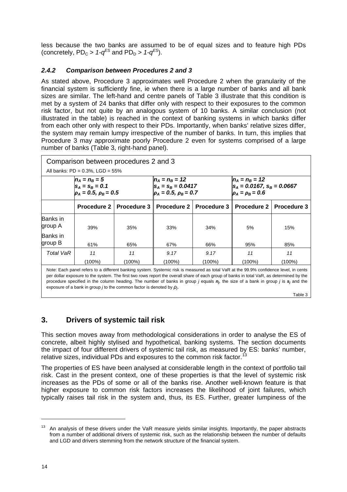less because the two banks are assumed to be of equal sizes and to feature high PDs (concretely,  $PD_c > 1-q^{ES}$  and  $PD_p > 1-q^{ES}$ ).

#### <span id="page-19-0"></span>*2.4.2 Comparison between Procedures 2 and 3*

As stated above, Procedure 3 approximates well Procedure 2 when the granularity of the financial system is sufficiently fine, ie when there is a large number of banks and all bank sizes are similar. The left-hand and centre panels of Table 3 illustrate that this condition is met by a system of 24 banks that differ only with respect to their exposures to the common risk factor, but not quite by an analogous system of 10 banks. A similar conclusion (not illustrated in the table) is reached in the context of banking systems in which banks differ from each other only with respect to their PDs. Importantly, when banks' relative sizes differ, the system may remain lumpy irrespective of the number of banks. In turn, this implies that Procedure 3 may approximate poorly Procedure 2 even for systems comprised of a large number of banks (Table 3, right-hand panel).

| Comparison between procedures 2 and 3 |                                                                         |             |                                                                             |                    |                                                                                                         |             |  |  |  |  |
|---------------------------------------|-------------------------------------------------------------------------|-------------|-----------------------------------------------------------------------------|--------------------|---------------------------------------------------------------------------------------------------------|-------------|--|--|--|--|
| All banks: $PD = 0.3\%$ , LGD = 55%   |                                                                         |             |                                                                             |                    |                                                                                                         |             |  |  |  |  |
|                                       | $n_A = n_B = 5$<br>$S_A = S_B = 0.1$<br>$\rho_A = 0.5$ , $\rho_B = 0.5$ |             | $n_A = n_B = 12$<br>$s_A = s_B = 0.0417$<br>$\rho_A = 0.5$ , $\rho_B = 0.7$ |                    | $n_A = n_B = 12$<br>$\vert$ S <sub>A</sub> = 0.0167, S <sub>B</sub> = 0.0667<br>$\rho_A = \rho_B = 0.6$ |             |  |  |  |  |
|                                       | <b>Procedure 2</b>                                                      | Procedure 3 | Procedure 2                                                                 | <b>Procedure 3</b> | Procedure 2                                                                                             | Procedure 3 |  |  |  |  |
| Banks in<br>group A                   | 39%                                                                     | 35%         | 33%                                                                         | 34%                | 5%                                                                                                      | 15%         |  |  |  |  |
| Banks in<br>group B                   | 61%                                                                     | 65%         | 67%                                                                         | 66%                | 95%                                                                                                     | 85%         |  |  |  |  |
| <b>Total VaR</b>                      | 11                                                                      | 11          | 9.17                                                                        | 9.17               | 11                                                                                                      | 11          |  |  |  |  |
|                                       | (100%)                                                                  | $(100\%)$   | (100%)                                                                      | (100%)             | $(100\%)$                                                                                               | (100%)      |  |  |  |  |

Note: Each panel refers to a different banking system. Systemic risk is measured as total VaR at the 99.9% confidence level, in cents per dollar exposure to the system. The first two rows report the overall share of each group of banks in total VaR, as determined by the procedure specified in the column heading. The number of banks in group *j* equals *nj*, the size of a bank in group *j* is *sj* and the exposure of a bank in group *j* to the common factor is denoted by *ρj*.

Table 3

# <span id="page-19-1"></span>**3. Drivers of systemic tail risk**

This section moves away from methodological considerations in order to analyse the ES of concrete, albeit highly stylised and hypothetical, banking systems. The section documents the impact of four different drivers of systemic tail risk, as measured by ES: banks' number, relative sizes, individual PDs and exposures to the common risk factor.<sup>[13](#page-19-2)</sup>

The properties of ES have been analysed at considerable length in the context of portfolio tail risk. Cast in the present context, one of these properties is that the level of systemic risk increases as the PDs of some or all of the banks rise. Another well-known feature is that higher exposure to common risk factors increases the likelihood of joint failures, which typically raises tail risk in the system and, thus, its ES. Further, greater lumpiness of the

<span id="page-19-2"></span> $13$  An analysis of these drivers under the VaR measure vields similar insights. Importantly, the paper abstracts from a number of additional drivers of systemic risk, such as the relationship between the number of defaults and LGD and drivers stemming from the network structure of the financial system.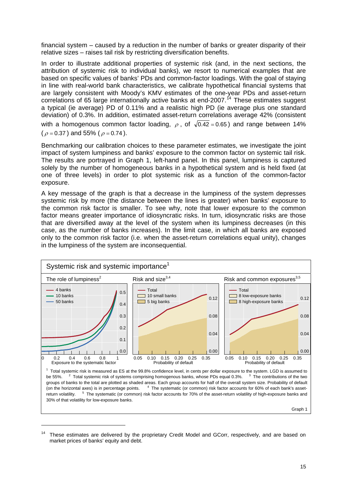financial system – caused by a reduction in the number of banks or greater disparity of their relative sizes – raises tail risk by restricting diversification benefits.

In order to illustrate additional properties of systemic risk (and, in the next sections, the attribution of systemic risk to individual banks), we resort to numerical examples that are based on specific values of banks' PDs and common-factor loadings. With the goal of staying in line with real-world bank characteristics, we calibrate hypothetical financial systems that are largely consistent with Moody's KMV estimates of the one-year PDs and asset-return correlations of 65 large internationally active banks at end-2007.<sup>[14](#page-20-0)</sup> These estimates suggest a typical (ie average) PD of 0.11% and a realistic high PD (ie average plus one standard deviation) of 0.3%. In addition, estimated asset-return correlations average 42% (consistent with a homogenous common factor loading,  $\rho$ , of  $\sqrt{0.42} = 0.65$ ) and range between 14% ( $\rho = 0.37$ ) and 55% ( $\rho = 0.74$ ).

Benchmarking our calibration choices to these parameter estimates, we investigate the joint impact of system lumpiness and banks' exposure to the common factor on systemic tail risk. The results are portrayed in Graph 1, left-hand panel. In this panel, lumpiness is captured solely by the number of homogeneous banks in a hypothetical system and is held fixed (at one of three levels) in order to plot systemic risk as a function of the common-factor exposure.

A key message of the graph is that a decrease in the lumpiness of the system depresses systemic risk by more (the distance between the lines is greater) when banks' exposure to the common risk factor is smaller. To see why, note that lower exposure to the common factor means greater importance of idiosyncratic risks. In turn, idiosyncratic risks are those that are diversified away at the level of the system when its lumpiness decreases (in this case, as the number of banks increases). In the limit case, in which all banks are exposed only to the common risk factor (i.e. when the asset-return correlations equal unity), changes in the lumpiness of the system are inconsequential.



be 55%. <sup>2</sup>  $2$  Total systemic risk of systems comprising homogenous banks, whose PDs equal 0.3%.  $3$  The contributions of the two groups of banks to the total are plotted as shaded areas. Each group accounts for half of the overall system size. Probability of default (on the horizontal axes) is in percentage points. <sup>4</sup> <sup>4</sup> The systematic (or common) risk factor accounts for 60% of each bank's assetreturn volatility.  $<sup>5</sup>$  The systematic (or common) risk factor accounts for 70% of the asset-return volatility of high-exposure banks and</sup> 30% of that volatility for low-exposure banks.

Graph 1

-

<span id="page-20-0"></span>These estimates are delivered by the proprietary Credit Model and GCorr, respectively, and are based on market prices of banks' equity and debt.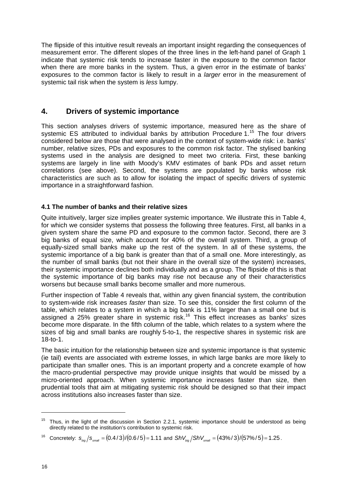The flipside of this intuitive result reveals an important insight regarding the consequences of measurement error. The different slopes of the three lines in the left-hand panel of Graph 1 indicate that systemic risk tends to increase faster in the exposure to the common factor when there are more banks in the system. Thus, a given error in the estimate of banks' exposures to the common factor is likely to result in a *larger* error in the measurement of systemic tail risk when the system is *less* lumpy.

#### <span id="page-21-0"></span>**4. Drivers of systemic importance**

This section analyses drivers of systemic importance, measured here as the share of systemic ES attributed to individual banks by attribution Procedure 1.<sup>[15](#page-21-2)</sup> The four drivers considered below are those that were analysed in the context of system-wide risk: i.e. banks' number, relative sizes, PDs and exposures to the common risk factor. The stylised banking systems used in the analysis are designed to meet two criteria. First, these banking systems are largely in line with Moody's KMV estimates of bank PDs and asset return correlations (see above). Second, the systems are populated by banks whose risk characteristics are such as to allow for isolating the impact of specific drivers of systemic importance in a straightforward fashion.

#### <span id="page-21-1"></span>**4.1 The number of banks and their relative sizes**

Quite intuitively, larger size implies greater systemic importance. We illustrate this in Table 4, for which we consider systems that possess the following three features. First, all banks in a given system share the same PD and exposure to the common factor. Second, there are 3 big banks of equal size, which account for 40% of the overall system. Third, a group of equally-sized small banks make up the rest of the system. In all of these systems, the systemic importance of a big bank is greater than that of a small one. More interestingly, as the number of small banks (but not their share in the overall size of the system) increases, their systemic importance declines both individually and as a group. The flipside of this is that the systemic importance of big banks may rise not because any of their characteristics worsens but because small banks become smaller and more numerous.

Further inspection of Table 4 reveals that, within any given financial system, the contribution to system-wide risk increases *faster* than size. To see this, consider the first column of the table, which relates to a system in which a big bank is 11% larger than a small one but is assigned a 25% greater share in systemic risk.<sup>[16](#page-21-3)</sup> This effect increases as banks' sizes become more disparate. In the fifth column of the table, which relates to a system where the sizes of big and small banks are roughly 5-to-1, the respective shares in systemic risk are 18-to-1.

The basic intuition for the relationship between size and systemic importance is that systemic (ie tail) events are associated with extreme losses, in which large banks are more likely to participate than smaller ones. This is an important property and a concrete example of how the macro-prudential perspective may provide unique insights that would be missed by a micro-oriented approach. When systemic importance increases faster than size, then prudential tools that aim at mitigating systemic risk should be designed so that their impact across institutions also increases faster than size.

<span id="page-21-3"></span><sup>16</sup> Concretely:  $s_{\text{bin}}/s_{\text{small}} = (0.4/3)/(0.6/5) = 1.11$  and  $ShV_{\text{bin}}/ShV_{\text{small}} = (43\%/3)/(57\%/5) = 1.25$ .

<span id="page-21-2"></span><sup>&</sup>lt;sup>15</sup> Thus, in the light of the discussion in Section 2.2.1, systemic importance should be understood as being directly related to the institution's contribution to systemic risk.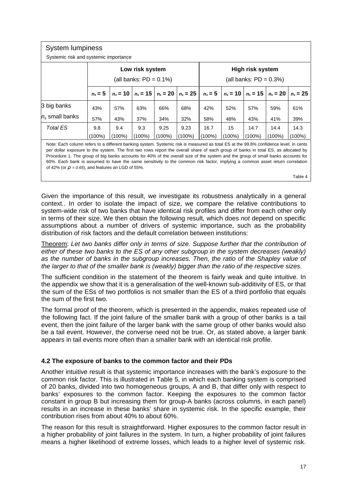| <b>System lumpiness</b>                                                                                                                                                                                                                                                                                                                                                                                                                                                                                                                                                                                    |                                                                                                                          |        |                 |        |           |                  |        |                           |           |            |  |  |  |
|------------------------------------------------------------------------------------------------------------------------------------------------------------------------------------------------------------------------------------------------------------------------------------------------------------------------------------------------------------------------------------------------------------------------------------------------------------------------------------------------------------------------------------------------------------------------------------------------------------|--------------------------------------------------------------------------------------------------------------------------|--------|-----------------|--------|-----------|------------------|--------|---------------------------|-----------|------------|--|--|--|
| Systemic risk and systemic importance                                                                                                                                                                                                                                                                                                                                                                                                                                                                                                                                                                      |                                                                                                                          |        |                 |        |           |                  |        |                           |           |            |  |  |  |
|                                                                                                                                                                                                                                                                                                                                                                                                                                                                                                                                                                                                            |                                                                                                                          |        | Low risk system |        |           | High risk system |        |                           |           |            |  |  |  |
|                                                                                                                                                                                                                                                                                                                                                                                                                                                                                                                                                                                                            | (all banks: $PD = 0.1\%)$                                                                                                |        |                 |        |           |                  |        | (all banks: $PD = 0.3\%)$ |           |            |  |  |  |
|                                                                                                                                                                                                                                                                                                                                                                                                                                                                                                                                                                                                            | $n_s = 10$<br>$n_s = 15$<br>$n_s = 15$<br>$n_s = 10$<br>$n_s = 5$<br>$n_s = 20$<br>$n_s = 25$<br>$n_s = 5$<br>$n_s = 20$ |        |                 |        |           |                  |        |                           |           | $n_s = 25$ |  |  |  |
| 3 big banks<br>57%<br>63%<br>57%<br>43%<br>66%<br>68%<br>42%<br>52%                                                                                                                                                                                                                                                                                                                                                                                                                                                                                                                                        |                                                                                                                          |        |                 |        |           |                  | 59%    | 61%                       |           |            |  |  |  |
| $n_s$ small banks                                                                                                                                                                                                                                                                                                                                                                                                                                                                                                                                                                                          | 57%                                                                                                                      | 43%    | 37%             | 34%    | 32%       | 58%              | 48%    | 43%                       | 41%       | 39%        |  |  |  |
| Total ES                                                                                                                                                                                                                                                                                                                                                                                                                                                                                                                                                                                                   | 9.8                                                                                                                      | 9.4    | 9.3             | 9.25   | 9.23      | 16.7             | 15     | 14.7                      | 14.4      | 14.3       |  |  |  |
|                                                                                                                                                                                                                                                                                                                                                                                                                                                                                                                                                                                                            | $(100\%)$                                                                                                                | (100%) | $(100\%)$       | (100%) | $(100\%)$ | $(100\%)$        | (100%) | (100%)                    | $(100\%)$ | $(100\%)$  |  |  |  |
| Note: Each column refers to a different banking system. Systemic risk is measured as total ES at the 99.8% confidence level, in cents<br>per dollar exposure to the system. The first two rows report the overall share of each group of banks in total ES, as allocated by<br>Procedure 1. The group of big banks accounts for 40% of the overall size of the system and the group of small banks accounts for<br>60%. Each bank is assumed to have the same sensitivity to the common risk factor, implying a common asset return correlation<br>of 42% (or $\rho = 0.65$ ), and features an LGD of 55%. |                                                                                                                          |        |                 |        |           |                  |        |                           |           |            |  |  |  |

Table 4

Given the importance of this result, we investigate its robustness analytically in a general context.. In order to isolate the impact of size, we compare the relative contributions to system-wide risk of two banks that have identical risk profiles and differ from each other only in terms of their size. We then obtain the following result, which does *not* depend on specific assumptions about a number of drivers of systemic importance, such as the probability distribution of risk factors and the default correlation between institutions:

Theorem: *Let two banks differ only in terms of size. Suppose further that the contribution of either of these two banks to the ES of any other subgroup in the system decreases (weakly) as the number of banks in the subgroup increases. Then, the ratio of the Shapley value of the larger to that of the smaller bank is (weakly) bigger than the ratio of the respective sizes.*

The sufficient condition in the statement of the theorem is fairly weak and quite intuitive. In the appendix we show that it is a generalisation of the well-known sub-additivity of ES, or that the sum of the ESs of two portfolios is not smaller than the ES of a third portfolio that equals the sum of the first two.

The formal proof of the theorem, which is presented in the appendix, makes repeated use of the following fact. If the joint failure of the smaller bank with a group of other banks is a tail event, then the joint failure of the larger bank with the same group of other banks would also be a tail event. However, the converse need not be true. Or, as stated above, a larger bank appears in tail events more often than a smaller bank with an identical risk profile.

#### <span id="page-22-0"></span>**4.2 The exposure of banks to the common factor and their PDs**

Another intuitive result is that systemic importance increases with the bank's exposure to the common risk factor. This is illustrated in Table 5, in which each banking system is comprised of 20 banks, divided into two homogeneous groups, A and B, that differ only with respect to banks' exposures to the common factor. Keeping the exposures to the common factor constant in group B but increasing them for group-A banks (across columns, in each panel) results in an increase in these banks' share in systemic risk. In the specific example, their contribution rises from about 40% to about 60%.

The reason for this result is straightforward. Higher exposures to the common factor result in a higher probability of joint failures in the system. In turn, a higher probability of joint failures means a higher likelihood of extreme losses, which leads to a higher level of systemic risk.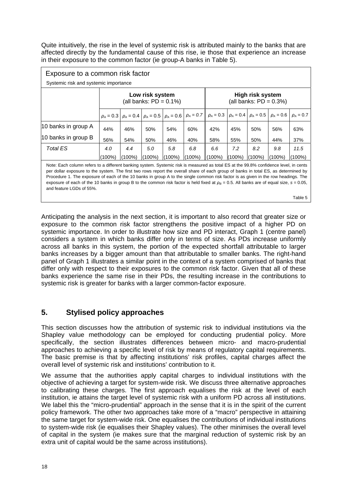Quite intuitively, the rise in the level of systemic risk is attributed mainly to the banks that are affected directly by the fundamental cause of this rise, ie those that experience an increase in their exposure to the common factor (ie group-A banks in Table 5).

| Exposure to a common risk factor                                                                                                      |     |     |                                                                                    |     |     |     |     |                                              |                |                |  |
|---------------------------------------------------------------------------------------------------------------------------------------|-----|-----|------------------------------------------------------------------------------------|-----|-----|-----|-----|----------------------------------------------|----------------|----------------|--|
| Systemic risk and systemic importance                                                                                                 |     |     |                                                                                    |     |     |     |     |                                              |                |                |  |
| Low risk system<br>High risk system<br>(all banks: $PD = 0.1\%)$<br>(all banks: $PD = 0.3\%)$                                         |     |     |                                                                                    |     |     |     |     |                                              |                |                |  |
|                                                                                                                                       |     |     | $\rho_A = 0.3$   $\rho_A = 0.4$   $\rho_A = 0.5$   $\rho_A = 0.6$   $\rho_A = 0.7$ |     |     |     |     | $\rho_A = 0.3$ $\rho_A = 0.4$ $\rho_A = 0.5$ | $\rho_A = 0.6$ | $\rho_A = 0.7$ |  |
| 10 banks in group A                                                                                                                   | 44% | 46% | 50%                                                                                | 54% | 60% | 42% | 45% | 50%                                          | 56%            | 63%            |  |
| 10 banks in group B                                                                                                                   | 56% | 54% | 50%                                                                                | 46% | 40% | 58% | 55% | 50%                                          | 44%            | 37%            |  |
| Total ES                                                                                                                              | 4.0 | 4.4 | 5.0                                                                                | 5.8 | 6.8 | 6.6 | 7.2 | 8.2                                          | 9.8            | 11.5           |  |
| $(100\%)$<br>$(100\%)$<br>$(100\%)$<br>$(100\%)$<br>$(100\%)$<br>(100%)<br>$(100\%)$<br>(100%)<br>$(100\%)$                           |     |     |                                                                                    |     |     |     |     |                                              |                | $(100\%)$      |  |
| Note: Each column refers to a different banking system. Systemic risk is measured as total ES at the 99.8% confidence level, in cents |     |     |                                                                                    |     |     |     |     |                                              |                |                |  |

per dollar exposure to the system. The first two rows report the overall share of each group of banks in total ES, as determined by Procedure 1. The exposure of each of the 10 banks in group A to the single common risk factor is as given in the row headings. The exposure of each of the 10 banks in group B to the common risk factor is held fixed at  $\rho_B = 0.5$ . All banks are of equal size,  $s = 0.05$ , and feature LGDs of 55%.

Table 5

Anticipating the analysis in the next section, it is important to also record that greater size or exposure to the common risk factor strengthens the positive impact of a higher PD on systemic importance. In order to illustrate how size and PD interact, Graph 1 (centre panel) considers a system in which banks differ only in terms of size. As PDs increase uniformly across all banks in this system, the portion of the expected shortfall attributable to larger banks increases by a bigger amount than that attributable to smaller banks. The right-hand panel of Graph 1 illustrates a similar point in the context of a system comprised of banks that differ only with respect to their exposures to the common risk factor. Given that all of these banks experience the same rise in their PDs, the resulting increase in the contributions to systemic risk is greater for banks with a larger common-factor exposure.

# <span id="page-23-0"></span>**5. Stylised policy approaches**

This section discusses how the attribution of systemic risk to individual institutions via the Shapley value methodology can be employed for conducting prudential policy. More specifically, the section illustrates differences between micro- and macro-prudential approaches to achieving a specific level of risk by means of regulatory capital requirements. The basic premise is that by affecting institutions' risk profiles, capital charges affect the overall level of systemic risk and institutions' contribution to it.

We assume that the authorities apply capital charges to individual institutions with the objective of achieving a target for system-wide risk. We discuss three alternative approaches to calibrating these charges. The first approach equalises the risk at the level of each institution, ie attains the target level of systemic risk with a uniform PD across all institutions. We label this the "micro-prudential" approach in the sense that it is in the spirit of the current policy framework. The other two approaches take more of a "macro" perspective in attaining the same target for system-wide risk. One equalises the contributions of individual institutions to system-wide risk (ie equalises their Shapley values). The other minimises the overall level of capital in the system (ie makes sure that the marginal reduction of systemic risk by an extra unit of capital would be the same across institutions).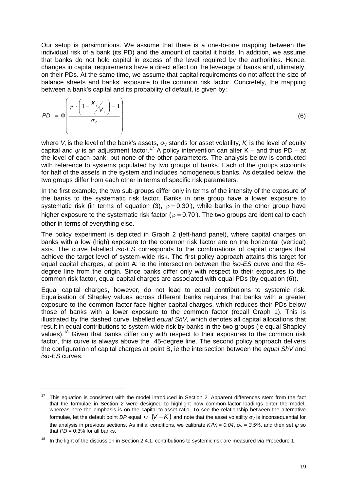Our setup is parsimonious. We assume that there is a one-to-one mapping between the individual risk of a bank (its PD) and the amount of capital it holds. In addition, we assume that banks do not hold capital in excess of the level required by the authorities. Hence, changes in capital requirements have a direct effect on the leverage of banks and, ultimately, on their PDs. At the same time, we assume that capital requirements do not affect the size of balance sheets and banks' exposure to the common risk factor. Concretely, the mapping between a bank's capital and its probability of default, is given by:

$$
PD_i = \Phi\left(\frac{\psi \cdot \left(1 - \frac{K_i}{V_i}\right) - 1}{\sigma_v}\right)
$$
 (6)

where *V<sub>i</sub>* is the level of the bank's assets,  $\sigma_V$  stands for asset volatility, *K<sub>i</sub>* is the level of equity capital and  $\psi$  is an adjustment factor.<sup>[17](#page-24-0)</sup> A policy intervention can alter K – and thus PD – at the level of each bank, but none of the other parameters. The analysis below is conducted with reference to systems populated by two groups of banks. Each of the groups accounts for half of the assets in the system and includes homogeneous banks. As detailed below, the two groups differ from each other in terms of specific risk parameters.

In the first example, the two sub-groups differ only in terms of the intensity of the exposure of the banks to the systematic risk factor. Banks in one group have a lower exposure to systematic risk (in terms of equation (3),  $\rho = 0.30$ ), while banks in the other group have higher exposure to the systematic risk factor ( $\rho = 0.70$ ). The two groups are identical to each other in terms of everything else.

The policy experiment is depicted in Graph 2 (left-hand panel), where capital charges on banks with a low (high) exposure to the common risk factor are on the horizontal (vertical) axis. The curve labelled *iso-ES* corresponds to the combinations of capital charges that achieve the target level of system-wide risk. The first policy approach attains this target for equal capital charges, at point A: ie the intersection between the *iso-ES* curve and the 45 degree line from the origin. Since banks differ only with respect to their exposures to the common risk factor, equal capital charges are associated with equal PDs (by equation (6)).

Equal capital charges, however, do not lead to equal contributions to systemic risk. Equalisation of Shapley values across different banks requires that banks with a greater exposure to the common factor face higher capital charges, which reduces their PDs below those of banks with a lower exposure to the common factor (recall Graph 1). This is illustrated by the dashed curve, labelled *equal ShV,* which denotes all capital allocations that result in equal contributions to system-wide risk by banks in the two groups (ie equal Shapley values).<sup>[18](#page-24-1)</sup> Given that banks differ only with respect to their exposures to the common risk factor, this curve is always above the 45-degree line. The second policy approach delivers the configuration of capital charges at point B, ie the intersection between the *equal ShV* and *iso-ES* curves.

-

<span id="page-24-0"></span><sup>17</sup> This equation is consistent with the model introduced in Section 2. Apparent differences stem from the fact that the formulae in Section 2 were designed to highlight how common-factor loadings enter the model, whereas here the emphasis is on the capital-to-asset ratio. To see the relationship between the alternative formulae, let the default point *DP* equal  $\psi \cdot (V - K)$  and note that the asset volatility  $\sigma_V$  is inconsequential for the analysis in previous sections. As initial conditions, we calibrate *Ki/Vi* = *0.04*, *σV* = *3.5%*, and then set *ψ* so that  $PD = 0.3\%$  for all banks.

<span id="page-24-1"></span>In the light of the discussion in Section 2.4.1, contributions to systemic risk are measured via Procedure 1.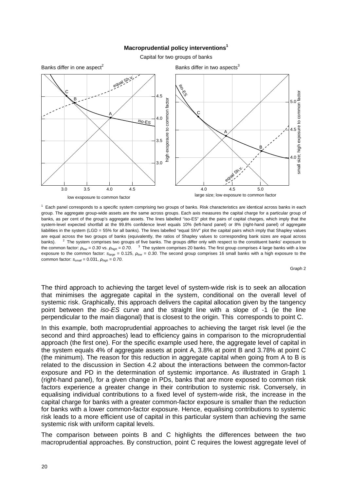#### **Macroprudential policy interventions1**

Capital for two groups of banks



<sup>1</sup> Each panel corresponds to a specific system comprising two groups of banks. Risk characteristics are identical across banks in each group. The aggregate group-wide assets are the same across groups. Each axis measures the capital charge for a particular group of banks, as per cent of the group's aggregate assets. The lines labelled "iso-ES" plot the pairs of capital charges, which imply that the system-level expected shortfall at the 99.8% confidence level equals 10% (left-hand panel) or 8% (right-hand panel) of aggregate liabilities in the system (LGD = 55% for all banks). The lines labelled "equal ShV" plot the capital pairs which imply that Shapley values are equal across the two groups of banks (equivalently, the ratios of Shapley values to corresponding bank sizes are equal across banks). <sup>2</sup>  $<sup>2</sup>$  The system comprises two groups of five banks. The groups differ only with respect to the constituent banks' exposure to</sup> the common factor:  $\rho_{low}$  = 0.30 vs.  $\rho_{high}$  = 0.70. <sup>3</sup> The system comprises 20 banks. The first group comprises 4 large banks with a low exposure to the common factor: *slarge* = 0.125, *ρlow = 0.30*. The second group comprises 16 small banks with a high exposure to the common factor: *ssmall* = 0.031, *ρhigh = 0.70*.

Graph 2

The third approach to achieving the target level of system-wide risk is to seek an allocation that minimises the aggregate capital in the system, conditional on the overall level of systemic risk. Graphically, this approach delivers the capital allocation given by the tangency point between the *iso-ES* curve and the straight line with a slope of -1 (ie the line perpendicular to the main diagonal) that is closest to the origin. This corresponds to point C.

In this example, both macroprudential approaches to achieving the target risk level (ie the second and third approaches) lead to efficiency gains in comparison to the microprudential approach (the first one). For the specific example used here, the aggregate level of capital in the system equals 4% of aggregate assets at point A, 3.8% at point B and 3.78% at point C (the minimum). The reason for this reduction in aggregate capital when going from A to B is related to the discussion in Section 4.2 about the interactions between the common-factor exposure and PD in the determination of systemic importance. As illustrated in Graph 1 (right-hand panel), for a given change in PDs, banks that are more exposed to common risk factors experience a greater change in their contribution to systemic risk. Conversely, in equalising individual contributions to a fixed level of system-wide risk, the increase in the capital charge for banks with a greater common-factor exposure is smaller than the reduction for banks with a lower common-factor exposure. Hence, equalising contributions to systemic risk leads to a more efficient use of capital in this particular system than achieving the same systemic risk with uniform capital levels.

The comparison between points B and C highlights the differences between the two macroprudential approaches. By construction, point C requires the lowest aggregate level of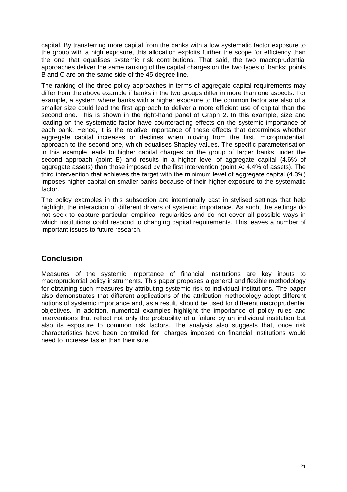capital. By transferring more capital from the banks with a low systematic factor exposure to the group with a high exposure, this allocation exploits further the scope for efficiency than the one that equalises systemic risk contributions. That said, the two macroprudential approaches deliver the same ranking of the capital charges on the two types of banks: points B and C are on the same side of the 45-degree line.

The ranking of the three policy approaches in terms of aggregate capital requirements may differ from the above example if banks in the two groups differ in more than one aspects. For example, a system where banks with a higher exposure to the common factor are also of a smaller size could lead the first approach to deliver a more efficient use of capital than the second one. This is shown in the right-hand panel of Graph 2. In this example, size and loading on the systematic factor have counteracting effects on the systemic importance of each bank. Hence, it is the relative importance of these effects that determines whether aggregate capital increases or declines when moving from the first, microprudential, approach to the second one, which equalises Shapley values. The specific parameterisation in this example leads to higher capital charges on the group of larger banks under the second approach (point B) and results in a higher level of aggregate capital (4.6% of aggregate assets) than those imposed by the first intervention (point A: 4.4% of assets). The third intervention that achieves the target with the minimum level of aggregate capital (4.3%) imposes higher capital on smaller banks because of their higher exposure to the systematic factor.

The policy examples in this subsection are intentionally cast in stylised settings that help highlight the interaction of different drivers of systemic importance. As such, the settings do not seek to capture particular empirical regularities and do not cover all possible ways in which institutions could respond to changing capital requirements. This leaves a number of important issues to future research.

# <span id="page-26-0"></span>**Conclusion**

Measures of the systemic importance of financial institutions are key inputs to macroprudential policy instruments. This paper proposes a general and flexible methodology for obtaining such measures by attributing systemic risk to individual institutions. The paper also demonstrates that different applications of the attribution methodology adopt different notions of systemic importance and, as a result, should be used for different macroprudential objectives. In addition, numerical examples highlight the importance of policy rules and interventions that reflect not only the probability of a failure by an individual institution but also its exposure to common risk factors. The analysis also suggests that, once risk characteristics have been controlled for, charges imposed on financial institutions would need to increase faster than their size.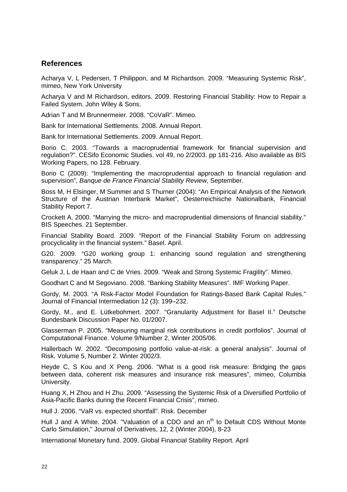#### **References**

Acharya V, L Pedersen, T Philippon, and M Richardson. 2009. "Measuring Systemic Risk", mimeo, New York University

Acharya V and M Richardson, editors. 2009. Restoring Financial Stability: How to Repair a Failed System. John Wiley & Sons.

Adrian T and M Brunnermeier. 2008. "CoVaR". Mimeo.

Bank for International Settlements. 2008. Annual Report.

Bank for International Settlements. 2009. Annual Report.

Borio C. 2003. "Towards a macroprudential framework for financial supervision and regulation?". CESifo Economic Studies. vol 49, no 2/2003. pp 181-216. Also available as BIS Working Papers, no 128. February.

Borio C (2009): "Implementing the macroprudential approach to financial regulation and supervision", *Banque de France Financial Stability Review*, September.

Boss M, H Elsinger, M Summer and S Thurner (2004): "An Empirical Analysis of the Network Structure of the Austrian Interbank Market", Oesterreichische Nationalbank, Financial Stability Report 7.

Crockett A. 2000. "Marrying the micro- and macroprudential dimensions of financial stability." BIS Speeches. 21 September.

Financial Stability Board. 2009. "Report of the Financial Stability Forum on addressing procyclicality in the financial system." Basel. April.

G20. 2009. "G20 working group 1: enhancing sound regulation and strengthening transparency." 25 March.

Geluk J, L de Haan and C de Vries. 2009. "Weak and Strong Systemic Fragility". Mimeo.

Goodhart C and M Segoviano. 2008. "Banking Stability Measures". IMF Working Paper.

Gordy, M. 2003. "A Risk-Factor Model Foundation for Ratings-Based Bank Capital Rules." Journal of Financial Intermediation 12 (3): 199–232.

Gordy, M., and E. Lütkebohmert. 2007. "Granularity Adjustment for Basel II." Deutsche Bundesbank Discussion Paper No. 01/2007.

Glasserman P. 2005. "Measuring marginal risk contributions in credit portfolios". Journal of Computational Finance. Volume 9/Number 2, Winter 2005/06.

Hallerbach W. 2002. "Decomposing portfolio value-at-risk: a general analysis". Journal of Risk. Volume 5, Number 2. Winter 2002/3.

<span id="page-27-0"></span>Heyde C, S Kou and X Peng. 2006. "What is a good risk measure: Bridging the gaps between data, coherent risk measures and insurance risk measures", mimeo, Columbia University.

Huang X, H Zhou and H Zhu. 2009. "Assessing the Systemic Risk of a Diversified Portfolio of Asia-Pacific Banks during the Recent Financial Crisis", mimeo.

Hull J. 2006. "VaR vs. expected shortfall". Risk. December

Hull J and A White. 2004. "Valuation of a CDO and an n<sup>th</sup> to Default CDS Without Monte Carlo Simulation," Journal of Derivatives, 12, 2 (Winter 2004), 8-23

International Monetary fund. 2009. Global Financial Stability Report. April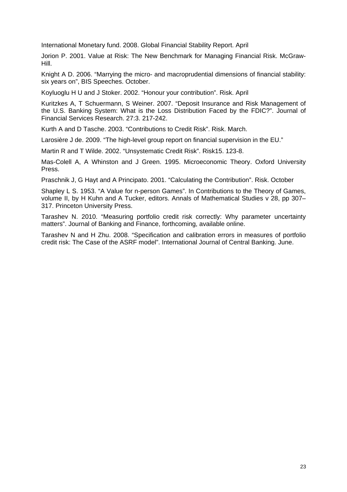International Monetary fund. 2008. Global Financial Stability Report. April

Jorion P. 2001. Value at Risk: The New Benchmark for Managing Financial Risk. McGraw-Hill.

Knight A D. 2006. "Marrying the micro- and macroprudential dimensions of financial stability: six years on", BIS Speeches. October.

Koyluoglu H U and J Stoker. 2002. "Honour your contribution". Risk. April

Kuritzkes A, T Schuermann, S Weiner. 2007. "Deposit Insurance and Risk Management of the U.S. Banking System: What is the Loss Distribution Faced by the FDIC?". Journal of Financial Services Research. 27:3. 217-242.

Kurth A and D Tasche. 2003. "Contributions to Credit Risk". Risk. March.

Larosière J de. 2009. "The high-level group report on financial supervision in the EU."

Martin R and T Wilde. 2002. "Unsystematic Credit Risk". Risk15. 123-8.

Mas-Colell A, A Whinston and J Green. 1995. Microeconomic Theory. Oxford University Press.

Praschnik J, G Hayt and A Principato. 2001. "Calculating the Contribution". Risk. October

Shapley L S. 1953. "A Value for n-person Games". In Contributions to the Theory of Games, volume II, by H Kuhn and A Tucker, editors. Annals of Mathematical Studies v 28, pp 307– 317. Princeton University Press.

Tarashev N. 2010. "Measuring portfolio credit risk correctly: Why parameter uncertainty matters". Journal of Banking and Finance, forthcoming, available online.

Tarashev N and H Zhu. 2008. "Specification and calibration errors in measures of portfolio credit risk: The Case of the ASRF model". International Journal of Central Banking. June.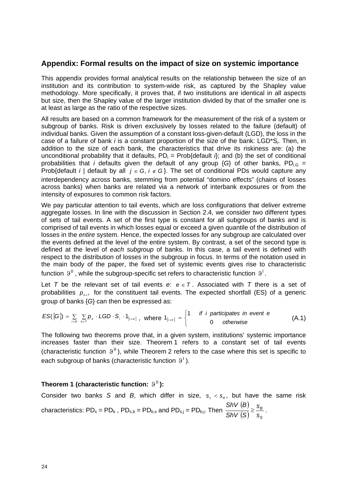#### **Appendix: Formal results on the impact of size on systemic importance**

This appendix provides formal analytical results on the relationship between the size of an institution and its contribution to system-wide risk, as captured by the Shapley value methodology. More specifically, it proves that, if two institutions are identical in all aspects but size, then the Shapley value of the larger institution divided by that of the smaller one is at least as large as the ratio of the respective sizes.

All results are based on a common framework for the measurement of the risk of a system or subgroup of banks. Risk is driven exclusively by losses related to the failure (default) of individual banks. Given the assumption of a constant loss-given-default (LGD), the loss in the case of a failure of bank *i* is a constant proportion of the size of the bank: LGD\*S*i*. Then, in addition to the size of each bank, the characteristics that drive its riskiness are: (a) the unconditional probability that it defaults,  $PD_i = Prob{default } i$ ; and (b) the set of conditional probabilities that *i* defaults given the default of any group  $\{G\}$  of other banks, PD<sub>iG</sub> = Prob{default *i* | default by all  $j \in G$ ,  $i \notin G$ }. The set of conditional PDs would capture any interdependency across banks, stemming from potential "domino effects" (chains of losses across banks) when banks are related via a network of interbank exposures or from the intensity of exposures to common risk factors.

We pay particular attention to tail events, which are loss configurations that deliver extreme aggregate losses. In line with the discussion in Section 2.4, we consider two different types of sets of tail events. A set of the first type is constant for all subgroups of banks and is comprised of tail events in which losses equal or exceed a given quantile of the distribution of losses in the *entire* system. Hence, the expected losses for any subgroup are calculated over the events defined at the level of the entire system. By contrast, a set of the second type is defined at the level of *each subgroup* of banks. In this case, a tail event is defined with respect to the distribution of losses in the subgroup in focus. In terms of the notation used in the main body of the paper, the fixed set of systemic events gives rise to characteristic function  $\vartheta^{\text{II}}$ , while the subgroup-specific set refers to characteristic function  $\vartheta^{\text{I}}$ .

<span id="page-29-0"></span>Let *T* be the relevant set of tail events  $e: e \in T$ . Associated with *T* there is a set of probabilities  $p_{\text{ref}}$  for the constituent tail events. The expected shortfall (ES) of a generic group of banks {*G*} can then be expressed as:

$$
ES({G}) = \sum_{i \in G} \sum_{e \in T} p_e \cdot LGD \cdot S_i \cdot 1_{[i \in e]}, \text{ where } 1_{[i \in e]} = \begin{cases} 1 & \text{if } i \text{ particles in event } e \\ 0 & \text{otherwise} \end{cases}
$$
 (A.1)

The following two theorems prove that, in a given system, institutions' systemic importance increases faster than their size. Theorem 1 refers to a constant set of tail events (characteristic function  $9^{\text{II}}$ ), while Theorem 2 refers to the case where this set is specific to each subgroup of banks (characteristic function  $9<sup>1</sup>$ ).

#### <span id="page-29-1"></span>**Theorem 1 (characteristic function:**  $9^{\text{T}}$ **):**

Consider two banks *S* and *B*, which differ in size,  $s_s < s_B$ , but have the same risk characteristics: PD<sub>s</sub> = PD<sub>b</sub>, PD<sub>s,b</sub> = PD<sub>b,s</sub> and PD<sub>s,j</sub> = PD<sub>b,j</sub>. Then  $\frac{ShV(B)}{O(W(B))}$  $\left(\mathcal{S}\right)^{-}s_{\scriptscriptstyle \mathcal{S}}$ *B s s SShV BShV*  $\geq \frac{9B}{2}$ .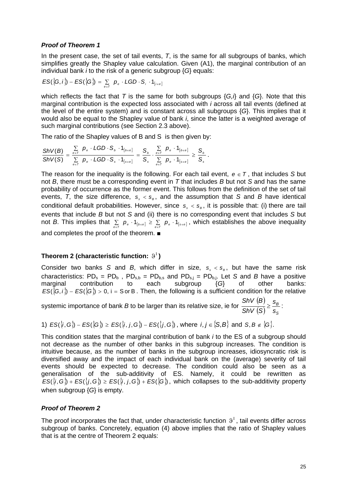#### <span id="page-30-0"></span>*Proof of Theorem 1*

In the present case, the set of tail events, *T*, is the same for all subgroups of banks, which simplifies greatly the Shapley value calculation. Given (A1), the marginal contribution of an individual bank *i* to the risk of a generic subgroup {*G*} equals:

$$
ES({G, i}) - ES({G}) = \sum_{e \in T} p_e \cdot LGD \cdot S_i \cdot 1_{[iee]}
$$

which reflects the fact that *T* is the same for both subgroups {*G,i*} and {*G*}. Note that this marginal contribution is the expected loss associated with *i* across all tail events (defined at the level of the entire system) and is constant across all subgroups {*G*}. This implies that it would also be equal to the Shapley value of bank *i*, since the latter is a weighted average of such marginal contributions (see Section 2.3 above).

The ratio of the Shapley values of B and S is then given by:

$$
\frac{{\textit{ShV}}(B)}{{\textit{ShV}}(S)}=\frac{\sum\limits_{e\in T}\ p_e\cdot LGD\cdot S_{_b}\cdot 1_{\left[s\in e\right]}}{\sum\limits_{e\in T}\ p_e\cdot LGD\cdot S_{_s}\cdot 1_{\left[s\in e\right]}}=\frac{S_{_b}}{S_{_s}}\cdot \frac{\sum\limits_{e\in T}\ p_e\cdot 1_{\left[s\in e\right]}}{\sum\limits_{e\in T}\ p_e\cdot 1_{\left[s\in e\right]}}\geq \frac{S_{_b}}{S_{_s}}\,.
$$

The reason for the inequality is the following. For each tail event,  $e \in T$ , that includes *S* but not *B*, there must be a corresponding event in *T* that includes *B* but not *S* and has the same probability of occurrence as the former event. This follows from the definition of the set of tail events, T, the size difference,  $s_{s} < s_{B}$ , and the assumption that *S* and *B* have identical conditional default probabilities. However, since  $s_{s} < s_{B}$ , it is possible that: (i) there are tail events that include *B* but not *S* and (ii) there is no corresponding event that includes *S* but not *B*. This implies that  $\sum_{e \in T} p_e \cdot 1_{[b \in e]} \ge \sum_{e \in T} p_e \cdot 1_{[s \in e]}$ , which establishes the above inequality and completes the proof of the theorem. ■

#### <span id="page-30-1"></span>**Theorem 2 (characteristic function:**  $9<sup>1</sup>$ **)**

Consider two banks *S* and *B*, which differ in size,  $s_{s} < s_{B}$ , but have the same risk characteristics:  $PD_s = PD_b$ ,  $PD_{s,b} = PD_{b,s}$  and  $PD_{s,j} = PD_{b,j}$ . Let *S* and *B* have a positive marginal contribution to each subgroup {*G*} of other banks:  $ES(\overline{G},i)$  –  $ES(\overline{G})$  > 0, i = S or B. Then, the following is a sufficient condition for the relative

systemic importance of bank *B* to be larger than its relative size, ie for  $\frac{\mathsf{ShV}\left(\mathsf{B}\right)}{\mathsf{B}\left(\mathsf{B}\right)}$  $\left(\mathcal{S}\right)^{-}s_{\scriptscriptstyle \mathcal{S}}$ *B s s SShV BShV*  $\geq \frac{9B}{2}$ :

1) 
$$
ES(\lbrace i, G \rbrace) - ES(\lbrace G \rbrace) \geq ES(\lbrace i, j, G \rbrace) - ES(\lbrace j, G \rbrace)
$$
, where  $i, j \in \lbrace S, B \rbrace$  and  $S, B \notin \lbrace G \rbrace$ .

This condition states that the marginal contribution of bank *i* to the ES of a subgroup should not decrease as the number of other banks in this subgroup increases. The condition is intuitive because, as the number of banks in the subgroup increases, idiosyncratic risk is diversified away and the impact of each individual bank on the (average) severity of tail events should be expected to decrease. The condition could also be seen as a generalisation of the sub-additivity of ES. Namely, it could be rewritten as  $ES(\{i,G\}) + ES(\{i,G\}) \geq ES(\{i,j,G\}) + ES(\{G\})$ , which collapses to the sub-additivity property when subgroup {*G*} is empty.

#### <span id="page-30-2"></span>*Proof of Theorem 2*

The proof incorporates the fact that, under characteristic function  $9<sup>T</sup>$ , tail events differ across subgroup of banks. Concretely, equation (4) above implies that the ratio of Shapley values that is at the centre of Theorem 2 equals: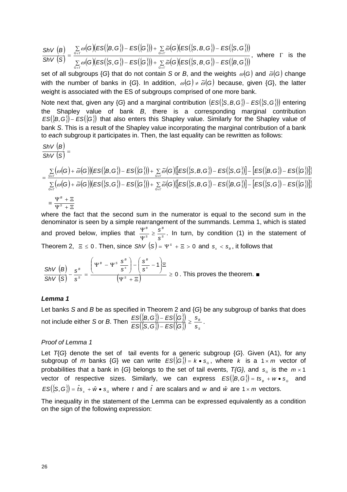$$
\frac{\text{ShV (B)}}{\text{ShV (S)}} = \frac{\sum\limits_{G \in \Gamma} \omega(G)(ES(\{B, G\}) - ES(\{G\})) + \sum\limits_{G \in \Gamma} \bar{\omega}(G)(ES(\{S, B, G\}) - ES(\{S, G\}))}{\sum\limits_{G \in \Gamma} \omega(G)(ES(\{S, G\}) - ES(\{G\})) + \sum\limits_{G \in \Gamma} \bar{\omega}(G)(ES(\{S, B, G\}) - ES(\{B, G\}))}, \text{ where } \Gamma \text{ is the}
$$

set of all subgroups {G} that do not contain S or B, and the weights  $\omega(G)$  and  $\tilde{\omega}(G)$  change with the number of banks in {*G*}. In addition,  $\omega(G) \neq \tilde{\omega}(G)$  because, given {*G*}, the latter weight is associated with the ES of subgroups comprised of one more bank.

Note next that, given any  $\{G\}$  and a marginal contribution  $\{ES(\{S, B, G\}) - ES(\{S, G\})\}$  entering the Shapley value of bank *B*, there is a corresponding marginal contribution  $ES(\{B, G\})$  –  $ES(\{G\})$  that also enters this Shapley value. Similarly for the Shapley value of bank *S*. This is a result of the Shapley value incorporating the marginal contribution of a bank to *each* subgroup it participates in. Then, the last equality can be rewritten as follows:

$$
\begin{aligned} &\frac{\text{ShV}\left(B\right)}{\text{ShV}\left(S\right)}=\\ &=\frac{\sum\limits_{\mathcal{G}\in\Gamma}\big(\omega\big(G\big)+\widetilde{\omega}\big(G\big)\big(\text{ES}\big(\{B,G\}\big)-\text{ES}\big(\{G\}\big)\big)+\sum\limits_{\mathcal{G}\in\Gamma}\widetilde{\omega}\big(G\big)\big(\text{ES}\big(\{S,B,G\}\big)-\text{ES}\big(\{S,G\}\big)\big]-\big[\text{ES}\big(\{B,G\}\big)-\text{ES}\big(\{G\}\big)\big]\big)}{\sum\limits_{\mathcal{G}\in\Gamma}\big(\omega\big(G\big)+\widetilde{\omega}\big(G\big)\big(\text{ES}\big(\{S,G\}\big)-\text{ES}\big(\{G\}\big)\big)+\sum\limits_{\mathcal{G}\in\Gamma}\widetilde{\omega}\big(G\big)\big(\text{ES}\big(\{S,B,G\}\big)-\text{ES}\big(\{B,G\}\big)\big]-\big[\text{ES}\big(\{S,G\}\big)-\text{ES}\big(\{G\}\big)\big]\big)}\\ &=\frac{\Psi^{\mathcal{B}}+ \Xi}{\Psi^{\mathcal{S}}+ \Xi} \end{aligned}
$$

where the fact that the second sum in the numerator is equal to the second sum in the denominator is seen by a simple rearrangement of the summands. Lemma 1, which is stated and proved below, implies that  $\frac{\Psi^B}{\Psi^S} \geq \frac{s^B}{s^S}$ *S B s*  $\geq \frac{s}{s}$  $\frac{\Psi^B}{\Psi^s} \geq \frac{s^B}{s^s}$ . In turn, by condition (1) in the statement of Theorem 2,  $\Xi \le 0$ . Then, since  $ShV(S) = \Psi^{s} + \Xi > 0$  and  $s_{s} < s_{\beta}$ , it follows that

$$
\frac{\text{ShV (B)}}{\text{ShV (S)}} - \frac{s^B}{s^S} = \frac{\left(\Psi^B - \Psi^S \frac{s^B}{s^S}\right) - \left(\frac{s^B}{s^S} - 1\right) \Xi}{\left(\Psi^S + \Xi\right)} \ge 0 \text{ . This proves the theorem. } \blacksquare
$$

#### <span id="page-31-0"></span>*Lemma 1*

Let banks *S* and *B* be as specified in Theorem 2 and {*G*} be any subgroup of banks that does not include either *S* or *B*. Then  $\frac{ES(\{B,G\})-ES(\{G\})}{ES(\{S,G\})-ES(\{G\})}\geq \frac{S_{B}}{S_{B}}$ *s s*  $ES(\{S,G\})-ES(\{G$ *ES*({*B, G*}) – *ES*({*G*})<br>*ES*({*S, G*}) – *ES*({*G*}) ≥  $\frac{\langle \mathbf{G} \rangle - ES(\langle \mathbf{G} \rangle)}{\langle \mathbf{G} \rangle - ES(\langle \mathbf{G} \rangle)} \geq \frac{s_{\scriptscriptstyle B}}{s_{\scriptscriptstyle S}}$ .

#### *Proof of Lemma 1*

Let *T*{*G*} denote the set of tail events for a generic subgroup {*G*}. Given (A1), for any subgroup of *m* banks {G} we can write  $ES({G}) = k \cdot s_{\epsilon}$ , where *k* is a 1 x *m* vector of probabilities that a bank in {G} belongs to the set of tail events,  $T$ {G}, and  $s_{\scriptscriptstyle G}$  is the  $m \times 1$ vector of respective sizes. Similarly, we can express  $ES(\{B,G\}) = t s_{_B} + w \bullet s_{_G}$  and  $ES({S, G}) = \hat{t}s_s + \hat{w} \cdot s_s$  where t and  $\hat{t}$  are scalars and w and  $\hat{w}$  are 1 x m vectors.

The inequality in the statement of the Lemma can be expressed equivalently as a condition on the sign of the following expression: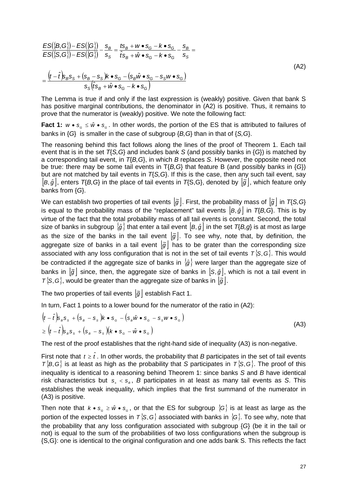$$
\frac{ES(\{B,G\}) - ES(\{G\})}{ES(\{S,G\}) - ES(\{G\})} - \frac{s_B}{s_S} = \frac{ts_B + w \cdot s_G - k \cdot s_G}{\hat{ts}_B + \hat{w} \cdot s_G - k \cdot s_G} - \frac{s_B}{s_S} = \frac{\left(t - \hat{t}\right)s_B s_S + \left(s_B - s_S\right)k \cdot s_G - \left(s_B \hat{w} \cdot s_G - s_S w \cdot s_G\right)}{s_S(\hat{t}s_B + \hat{w} \cdot s_G - k \cdot s_G)}\tag{A2}
$$

The Lemma is true if and only if the last expression is (weakly) positive. Given that bank S has positive marginal contributions, the denominator in (A2) is positive. Thus, it remains to prove that the numerator is (weakly) positive. We note the following fact:

**Fact 1:**  $w \cdot s_{\sigma} \leq \hat{w} \cdot s_{\sigma}$ . In other words, the portion of the ES that is attributed to failures of banks in {*G*} is smaller in the case of subgroup {*B,G*} than in that of {*S,G*}.

The reasoning behind this fact follows along the lines of the proof of Theorem 1. Each tail event that is in the set *T*{*S,G*} and includes bank *S* (and possibly banks in {*G*}) is matched by a corresponding tail event, in *T*{*B,G*}, in which *B* replaces *S*. However, the opposite need not be true: there may be some tail events in T{*B,G*} that feature B (and possibly banks in {*G*}) but are not matched by tail events in *T*{*S,G*}. If this is the case, then any such tail event, say  $|B,\hat{g}|$ , enters  $T_{\{B,G\}}$  in the place of tail events in  $T_{\{S,G\}}$ , denoted by  $|\tilde{g}|$ , which feature only banks from {*G*}.

We can establish two properties of tail events  $|\tilde{g}|$ . First, the probability mass of  $|\tilde{g}|$  in  $T\{S,G\}$ is equal to the probability mass of the "replacement" tail events  $|B, \hat{g}|$  in  $T\{B, G\}$ . This is by virtue of the fact that the total probability mass of all tail events is constant. Second, the total size of banks in subgroup  $\{\hat{g}\}$  that enter a tail event  $\left[ B, \hat{g} \right]$  in the set  $T(B,g)$  is at most as large as the size of the banks in the tail event  $|\tilde{g}|$ . To see why, note that, by definition, the aggregate size of banks in a tail event  $|\tilde{g}|$  has to be grater than the corresponding size associated with any loss configuration that is not in the set of tail events  $T\{S, G\}$ . This would be contradicted if the aggregate size of banks in  $\{\hat{g}\}$  were larger than the aggregate size of banks in  $|\tilde{g}|$  since, then, the aggregate size of banks in  $|s, \hat{g}|$ , which is not a tail event in  $T\$ S, G\}, would be greater than the aggregate size of banks in  $\overline{g}$ .

The two properties of tail events  $|\tilde{g}|$  establish Fact 1.

In turn, Fact 1 points to a lower bound for the numerator of the ratio in (A2):

$$
\begin{aligned} &\left(t-\hat{t}\right)s_{B}s_{S}+\left(s_{B}-s_{S}\right)k\bullet s_{G}-\left(s_{B}\hat{w}\bullet s_{G}-s_{S}w\bullet s_{G}\right)\\ &\geq\left(t-\hat{t}\right)s_{B}s_{S}+\left(s_{B}-s_{S}\right)\left(k\bullet s_{G}-\hat{w}\bullet s_{G}\right) \end{aligned} \tag{A3}
$$

The rest of the proof establishes that the right-hand side of inequality (A3) is non-negative.

First note that  $t \geq \hat{t}$ . In other words, the probability that *B* participates in the set of tail events  $\mathcal{T}_{1}^{1}$ *B*, *G*<sub> $>$ </sub> is at least as high as the probability that *S* participates in  $\mathcal{T}_{1}^{1}$ *S*, *G*<sub> $>$ </sub>. The proof of this inequality is identical to a reasoning behind Theorem 1: since banks *S* and *B* have identical risk characteristics but  $s_{s} < s_{B}$ , B participates in at least as many tail events as *S*. This establishes the weak inequality, which implies that the first summand of the numerator in (A3) is positive.

Then note that  $k \bullet s_{\alpha} \geq \hat{w} \bullet s_{\alpha}$ , or that the ES for subgroup  $\{G\}$  is at least as large as the portion of the expected losses in  $T\{S,G\}$  associated with banks in  $\{G\}$ . To see why, note that the probability that any loss configuration associated with subgroup {*G*} (be it in the tail or not) is equal to the sum of the probabilities of two loss configurations when the subgroup is {S,G}: one is identical to the original configuration and one adds bank S. This reflects the fact